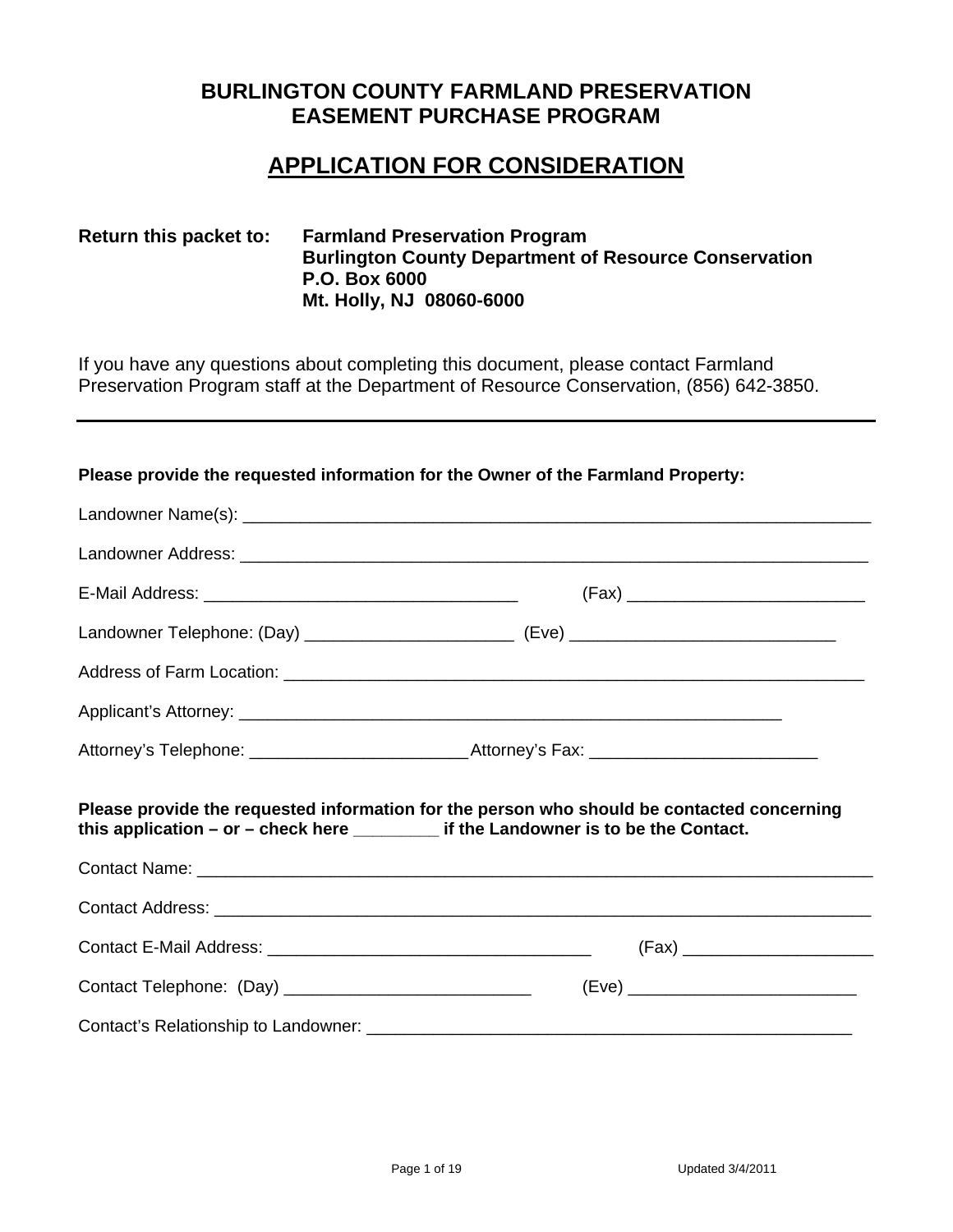# **BURLINGTON COUNTY FARMLAND PRESERVATION EASEMENT PURCHASE PROGRAM**

# **APPLICATION FOR CONSIDERATION**

## **Return this packet to: Farmland Preservation Program Burlington County Department of Resource Conservation P.O. Box 6000 Mt. Holly, NJ 08060-6000**

If you have any questions about completing this document, please contact Farmland Preservation Program staff at the Department of Resource Conservation, (856) 642-3850.

#### **Please provide the requested information for the Owner of the Farmland Property:**

| Attorney's Telephone: ___________________________________Attorney's Fax: ___________________________                                                                                   |  |
|----------------------------------------------------------------------------------------------------------------------------------------------------------------------------------------|--|
| Please provide the requested information for the person who should be contacted concerning<br>this application $-$ or $-$ check here $\sqrt{ }$ if the Landowner is to be the Contact. |  |
|                                                                                                                                                                                        |  |
|                                                                                                                                                                                        |  |
|                                                                                                                                                                                        |  |
|                                                                                                                                                                                        |  |
|                                                                                                                                                                                        |  |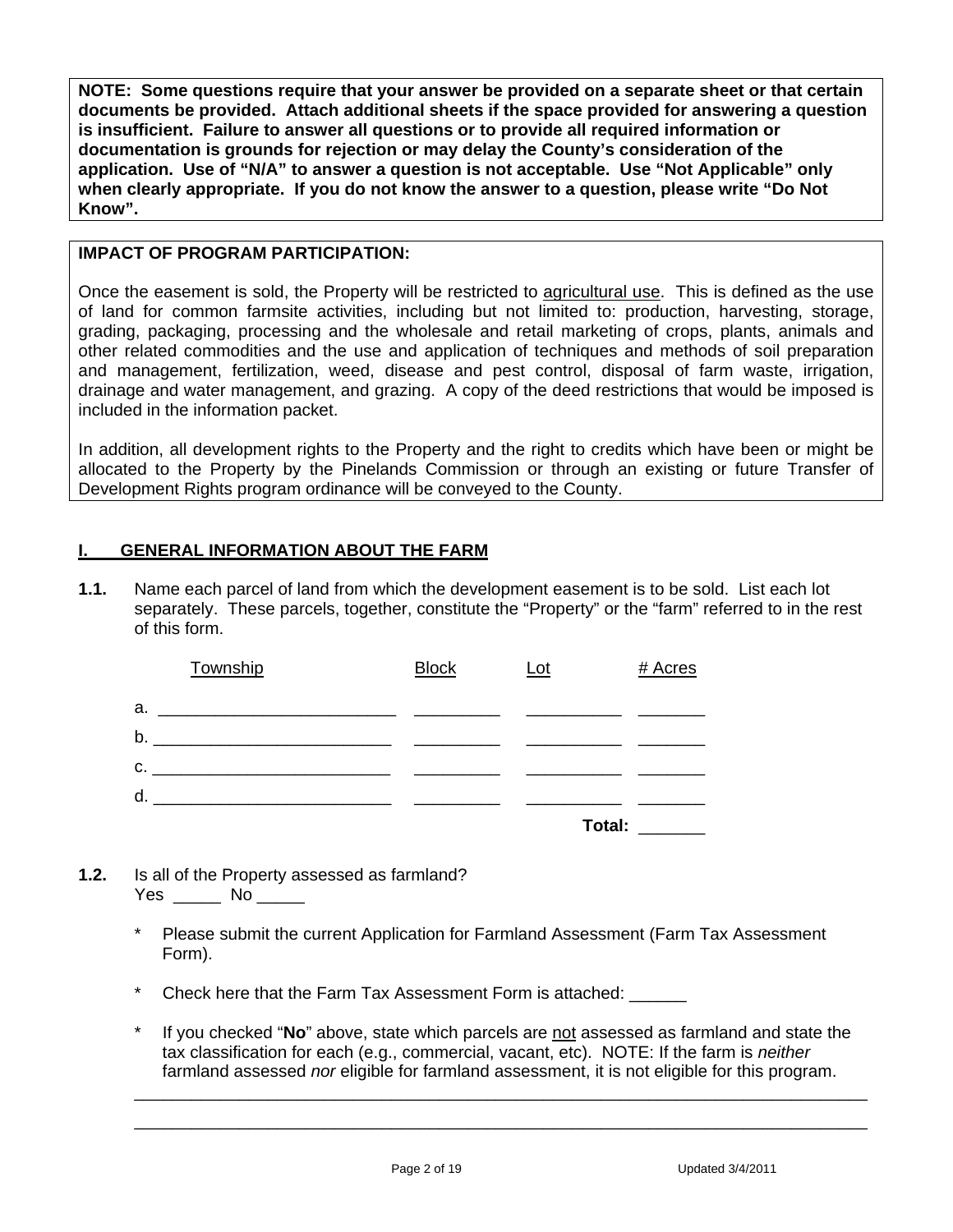**NOTE: Some questions require that your answer be provided on a separate sheet or that certain documents be provided. Attach additional sheets if the space provided for answering a question is insufficient. Failure to answer all questions or to provide all required information or documentation is grounds for rejection or may delay the County's consideration of the application. Use of "N/A" to answer a question is not acceptable. Use "Not Applicable" only when clearly appropriate. If you do not know the answer to a question, please write "Do Not Know".**

#### **IMPACT OF PROGRAM PARTICIPATION:**

Once the easement is sold, the Property will be restricted to agricultural use. This is defined as the use of land for common farmsite activities, including but not limited to: production, harvesting, storage, grading, packaging, processing and the wholesale and retail marketing of crops, plants, animals and other related commodities and the use and application of techniques and methods of soil preparation and management, fertilization, weed, disease and pest control, disposal of farm waste, irrigation, drainage and water management, and grazing. A copy of the deed restrictions that would be imposed is included in the information packet.

In addition, all development rights to the Property and the right to credits which have been or might be allocated to the Property by the Pinelands Commission or through an existing or future Transfer of Development Rights program ordinance will be conveyed to the County.

## **I. GENERAL INFORMATION ABOUT THE FARM**

**1.1.** Name each parcel of land from which the development easement is to be sold. List each lot separately. These parcels, together, constitute the "Property" or the "farm" referred to in the rest of this form.

| Township                                                                                                                                                                                                                            | <b>Block</b> | $Let$  | # Acres |
|-------------------------------------------------------------------------------------------------------------------------------------------------------------------------------------------------------------------------------------|--------------|--------|---------|
| а.<br>the control of the control of the control of the control of the control of the control of the control of the control of the control of the control of the control of the control of the control of the control of the control |              |        |         |
|                                                                                                                                                                                                                                     |              |        |         |
| C.                                                                                                                                                                                                                                  |              |        |         |
| d.                                                                                                                                                                                                                                  |              |        |         |
|                                                                                                                                                                                                                                     |              | Total: |         |

- **1.2.** Is all of the Property assessed as farmland? Yes \_\_\_\_\_\_ No \_\_\_\_\_\_
	- Please submit the current Application for Farmland Assessment (Farm Tax Assessment Form).
	- \* Check here that the Farm Tax Assessment Form is attached: \_\_\_\_\_\_
	- If you checked "**No**" above, state which parcels are not assessed as farmland and state the tax classification for each (e.g., commercial, vacant, etc). NOTE: If the farm is *neither* farmland assessed *nor* eligible for farmland assessment, it is not eligible for this program.

\_\_\_\_\_\_\_\_\_\_\_\_\_\_\_\_\_\_\_\_\_\_\_\_\_\_\_\_\_\_\_\_\_\_\_\_\_\_\_\_\_\_\_\_\_\_\_\_\_\_\_\_\_\_\_\_\_\_\_\_\_\_\_\_\_\_\_\_\_\_\_\_\_\_\_\_\_ \_\_\_\_\_\_\_\_\_\_\_\_\_\_\_\_\_\_\_\_\_\_\_\_\_\_\_\_\_\_\_\_\_\_\_\_\_\_\_\_\_\_\_\_\_\_\_\_\_\_\_\_\_\_\_\_\_\_\_\_\_\_\_\_\_\_\_\_\_\_\_\_\_\_\_\_\_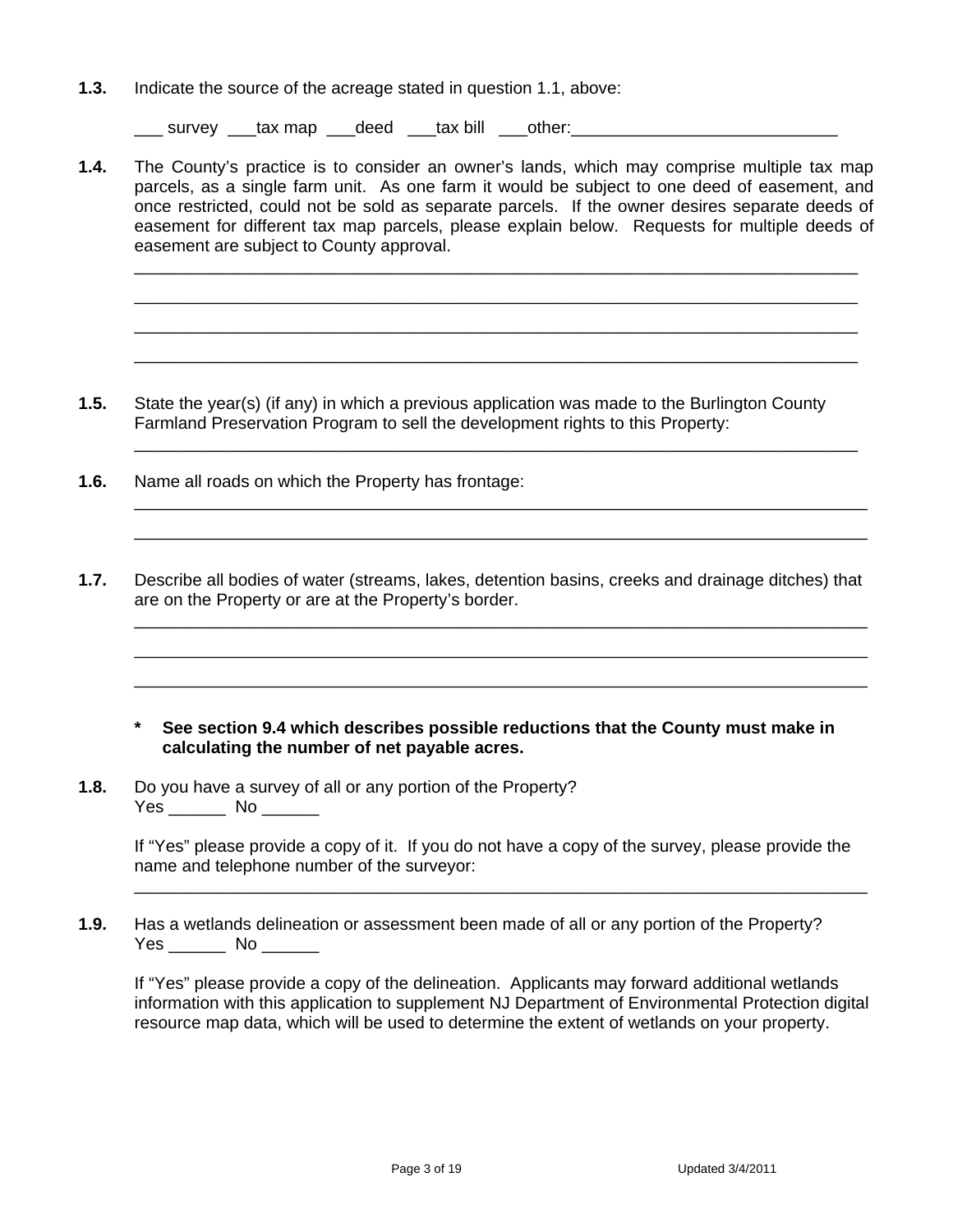**1.3.** Indicate the source of the acreage stated in question 1.1, above:

\_\_\_ survey \_\_\_tax map \_\_\_deed \_\_\_tax bill \_\_\_other:\_\_\_\_\_\_\_\_\_\_\_\_\_\_\_\_\_\_\_\_\_\_\_\_\_\_\_\_

**1.4.** The County's practice is to consider an owner's lands, which may comprise multiple tax map parcels, as a single farm unit. As one farm it would be subject to one deed of easement, and once restricted, could not be sold as separate parcels. If the owner desires separate deeds of easement for different tax map parcels, please explain below. Requests for multiple deeds of easement are subject to County approval.

 \_\_\_\_\_\_\_\_\_\_\_\_\_\_\_\_\_\_\_\_\_\_\_\_\_\_\_\_\_\_\_\_\_\_\_\_\_\_\_\_\_\_\_\_\_\_\_\_\_\_\_\_\_\_\_\_\_\_\_\_\_\_\_\_\_\_\_\_\_\_\_\_\_\_\_\_ \_\_\_\_\_\_\_\_\_\_\_\_\_\_\_\_\_\_\_\_\_\_\_\_\_\_\_\_\_\_\_\_\_\_\_\_\_\_\_\_\_\_\_\_\_\_\_\_\_\_\_\_\_\_\_\_\_\_\_\_\_\_\_\_\_\_\_\_\_\_\_\_\_\_\_\_ \_\_\_\_\_\_\_\_\_\_\_\_\_\_\_\_\_\_\_\_\_\_\_\_\_\_\_\_\_\_\_\_\_\_\_\_\_\_\_\_\_\_\_\_\_\_\_\_\_\_\_\_\_\_\_\_\_\_\_\_\_\_\_\_\_\_\_\_\_\_\_\_\_\_\_\_ \_\_\_\_\_\_\_\_\_\_\_\_\_\_\_\_\_\_\_\_\_\_\_\_\_\_\_\_\_\_\_\_\_\_\_\_\_\_\_\_\_\_\_\_\_\_\_\_\_\_\_\_\_\_\_\_\_\_\_\_\_\_\_\_\_\_\_\_\_\_\_\_\_\_\_\_

**1.5.** State the year(s) (if any) in which a previous application was made to the Burlington County Farmland Preservation Program to sell the development rights to this Property:

\_\_\_\_\_\_\_\_\_\_\_\_\_\_\_\_\_\_\_\_\_\_\_\_\_\_\_\_\_\_\_\_\_\_\_\_\_\_\_\_\_\_\_\_\_\_\_\_\_\_\_\_\_\_\_\_\_\_\_\_\_\_\_\_\_\_\_\_\_\_\_\_\_\_\_\_

 \_\_\_\_\_\_\_\_\_\_\_\_\_\_\_\_\_\_\_\_\_\_\_\_\_\_\_\_\_\_\_\_\_\_\_\_\_\_\_\_\_\_\_\_\_\_\_\_\_\_\_\_\_\_\_\_\_\_\_\_\_\_\_\_\_\_\_\_\_\_\_\_\_\_\_\_\_ \_\_\_\_\_\_\_\_\_\_\_\_\_\_\_\_\_\_\_\_\_\_\_\_\_\_\_\_\_\_\_\_\_\_\_\_\_\_\_\_\_\_\_\_\_\_\_\_\_\_\_\_\_\_\_\_\_\_\_\_\_\_\_\_\_\_\_\_\_\_\_\_\_\_\_\_\_

- **1.6.** Name all roads on which the Property has frontage:
- **1.7.** Describe all bodies of water (streams, lakes, detention basins, creeks and drainage ditches) that are on the Property or are at the Property's border.

 \_\_\_\_\_\_\_\_\_\_\_\_\_\_\_\_\_\_\_\_\_\_\_\_\_\_\_\_\_\_\_\_\_\_\_\_\_\_\_\_\_\_\_\_\_\_\_\_\_\_\_\_\_\_\_\_\_\_\_\_\_\_\_\_\_\_\_\_\_\_\_\_\_\_\_\_\_ \_\_\_\_\_\_\_\_\_\_\_\_\_\_\_\_\_\_\_\_\_\_\_\_\_\_\_\_\_\_\_\_\_\_\_\_\_\_\_\_\_\_\_\_\_\_\_\_\_\_\_\_\_\_\_\_\_\_\_\_\_\_\_\_\_\_\_\_\_\_\_\_\_\_\_\_\_ \_\_\_\_\_\_\_\_\_\_\_\_\_\_\_\_\_\_\_\_\_\_\_\_\_\_\_\_\_\_\_\_\_\_\_\_\_\_\_\_\_\_\_\_\_\_\_\_\_\_\_\_\_\_\_\_\_\_\_\_\_\_\_\_\_\_\_\_\_\_\_\_\_\_\_\_\_

- **\* See section 9.4 which describes possible reductions that the County must make in calculating the number of net payable acres.**
- **1.8.** Do you have a survey of all or any portion of the Property? Yes No No District No District No. 1996. The No District No. 1997. In 1997. In 1997. In 1997. In 1997. In 1997

If "Yes" please provide a copy of it. If you do not have a copy of the survey, please provide the name and telephone number of the surveyor:

\_\_\_\_\_\_\_\_\_\_\_\_\_\_\_\_\_\_\_\_\_\_\_\_\_\_\_\_\_\_\_\_\_\_\_\_\_\_\_\_\_\_\_\_\_\_\_\_\_\_\_\_\_\_\_\_\_\_\_\_\_\_\_\_\_\_\_\_\_\_\_\_\_\_\_\_\_

**1.9.** Has a wetlands delineation or assessment been made of all or any portion of the Property? Yes \_\_\_\_\_\_ No \_\_\_\_\_\_

 If "Yes" please provide a copy of the delineation. Applicants may forward additional wetlands information with this application to supplement NJ Department of Environmental Protection digital resource map data, which will be used to determine the extent of wetlands on your property.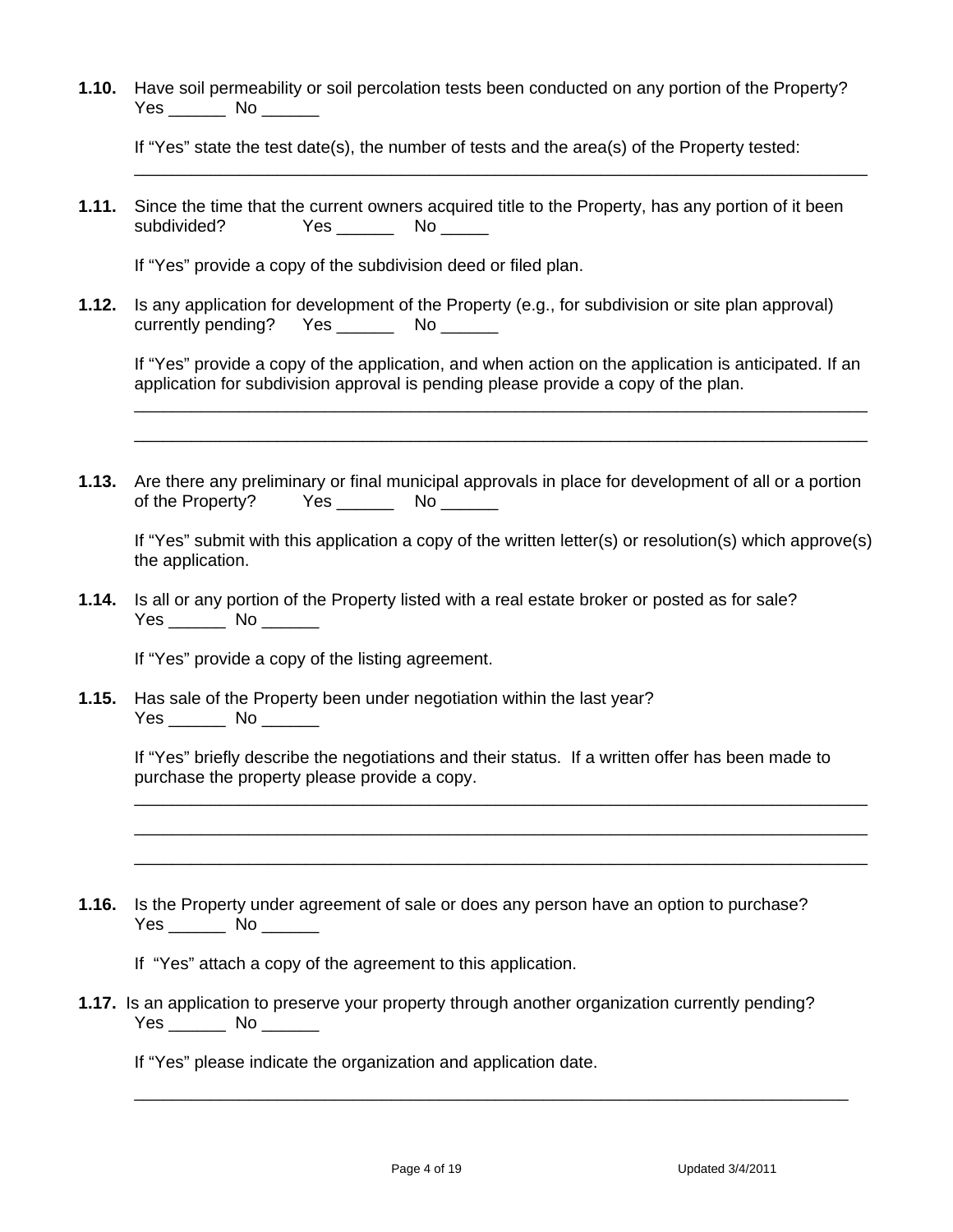**1.10.** Have soil permeability or soil percolation tests been conducted on any portion of the Property? Yes \_\_\_\_\_\_\_\_ No \_\_\_\_\_\_\_

If "Yes" state the test date(s), the number of tests and the area(s) of the Property tested: \_\_\_\_\_\_\_\_\_\_\_\_\_\_\_\_\_\_\_\_\_\_\_\_\_\_\_\_\_\_\_\_\_\_\_\_\_\_\_\_\_\_\_\_\_\_\_\_\_\_\_\_\_\_\_\_\_\_\_\_\_\_\_\_\_\_\_\_\_\_\_\_\_\_\_\_\_

**1.11.** Since the time that the current owners acquired title to the Property, has any portion of it been subdivided? Yes \_\_\_\_\_\_\_ No \_\_\_\_\_

If "Yes" provide a copy of the subdivision deed or filed plan.

**1.12.** Is any application for development of the Property (e.g., for subdivision or site plan approval) currently pending? Yes \_\_\_\_\_\_\_\_ No \_\_\_\_\_\_\_

If "Yes" provide a copy of the application, and when action on the application is anticipated. If an application for subdivision approval is pending please provide a copy of the plan.

\_\_\_\_\_\_\_\_\_\_\_\_\_\_\_\_\_\_\_\_\_\_\_\_\_\_\_\_\_\_\_\_\_\_\_\_\_\_\_\_\_\_\_\_\_\_\_\_\_\_\_\_\_\_\_\_\_\_\_\_\_\_\_\_\_\_\_\_\_\_\_\_\_\_\_\_\_ \_\_\_\_\_\_\_\_\_\_\_\_\_\_\_\_\_\_\_\_\_\_\_\_\_\_\_\_\_\_\_\_\_\_\_\_\_\_\_\_\_\_\_\_\_\_\_\_\_\_\_\_\_\_\_\_\_\_\_\_\_\_\_\_\_\_\_\_\_\_\_\_\_\_\_\_\_

**1.13.** Are there any preliminary or final municipal approvals in place for development of all or a portion of the Property? Yes \_\_\_\_\_\_\_\_\_ No \_\_\_\_\_\_\_

If "Yes" submit with this application a copy of the written letter(s) or resolution(s) which approve(s) the application.

**1.14.** Is all or any portion of the Property listed with a real estate broker or posted as for sale? Yes \_\_\_\_\_\_\_\_ No \_\_\_\_\_\_\_

If "Yes" provide a copy of the listing agreement.

**1.15.** Has sale of the Property been under negotiation within the last year? Yes No No District No No District No. 1996. In 1997, 1997, 1997, 1997, 1997, 1997

 If "Yes" briefly describe the negotiations and their status. If a written offer has been made to purchase the property please provide a copy.

\_\_\_\_\_\_\_\_\_\_\_\_\_\_\_\_\_\_\_\_\_\_\_\_\_\_\_\_\_\_\_\_\_\_\_\_\_\_\_\_\_\_\_\_\_\_\_\_\_\_\_\_\_\_\_\_\_\_\_\_\_\_\_\_\_\_\_\_\_\_\_\_\_\_\_\_\_ \_\_\_\_\_\_\_\_\_\_\_\_\_\_\_\_\_\_\_\_\_\_\_\_\_\_\_\_\_\_\_\_\_\_\_\_\_\_\_\_\_\_\_\_\_\_\_\_\_\_\_\_\_\_\_\_\_\_\_\_\_\_\_\_\_\_\_\_\_\_\_\_\_\_\_\_\_ \_\_\_\_\_\_\_\_\_\_\_\_\_\_\_\_\_\_\_\_\_\_\_\_\_\_\_\_\_\_\_\_\_\_\_\_\_\_\_\_\_\_\_\_\_\_\_\_\_\_\_\_\_\_\_\_\_\_\_\_\_\_\_\_\_\_\_\_\_\_\_\_\_\_\_\_\_

**1.16.** Is the Property under agreement of sale or does any person have an option to purchase? Yes \_\_\_\_\_\_\_ No \_\_\_\_\_\_

If "Yes" attach a copy of the agreement to this application.

**1.17.** Is an application to preserve your property through another organization currently pending? Yes \_\_\_\_\_\_\_\_ No \_\_\_\_\_\_\_

\_\_\_\_\_\_\_\_\_\_\_\_\_\_\_\_\_\_\_\_\_\_\_\_\_\_\_\_\_\_\_\_\_\_\_\_\_\_\_\_\_\_\_\_\_\_\_\_\_\_\_\_\_\_\_\_\_\_\_\_\_\_\_\_\_\_\_\_\_\_\_\_\_\_\_

If "Yes" please indicate the organization and application date.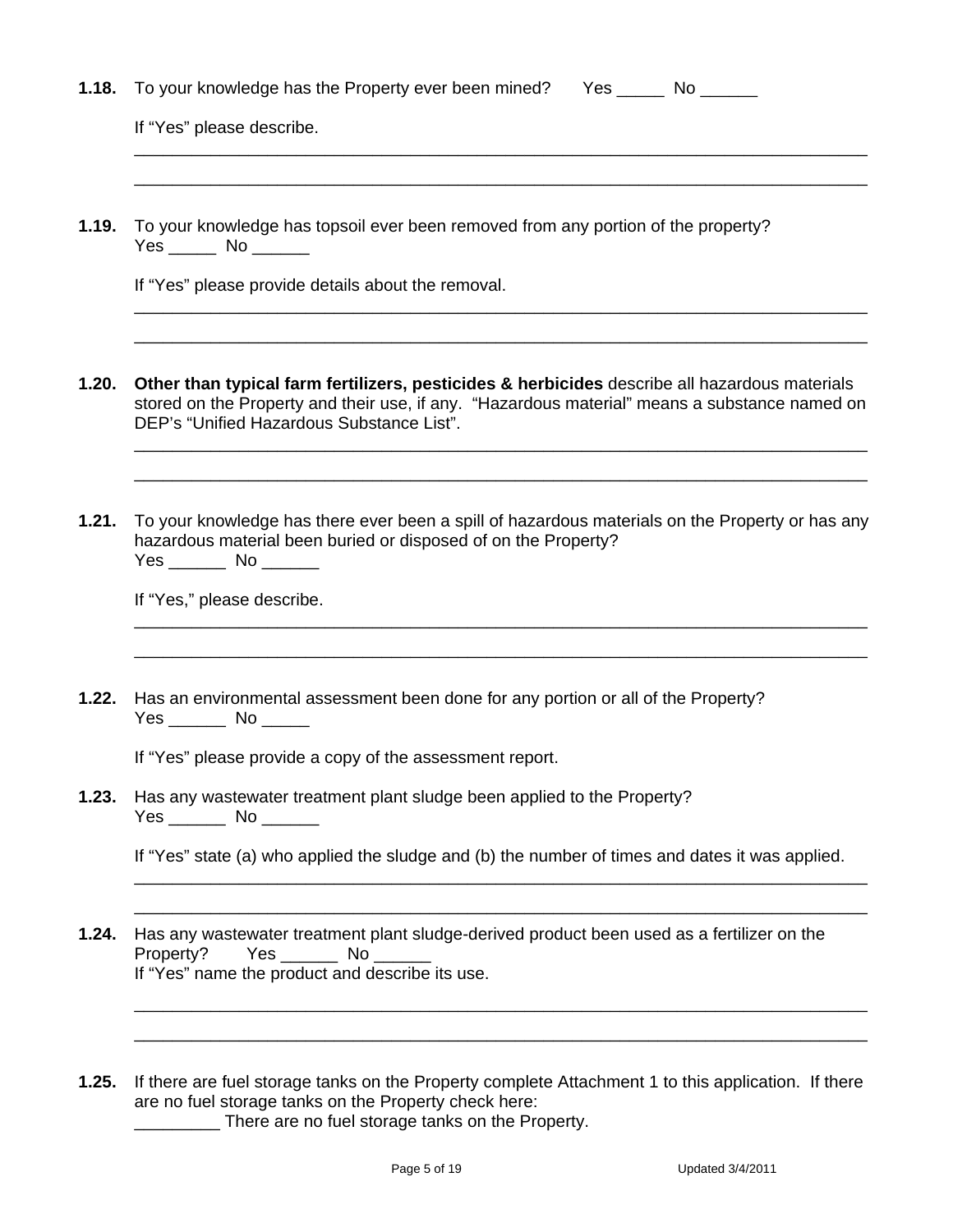| 1.18. | To your knowledge has the Property ever been mined? Yes ______ No ______                                                                                                                                                                    |
|-------|---------------------------------------------------------------------------------------------------------------------------------------------------------------------------------------------------------------------------------------------|
|       | If "Yes" please describe.                                                                                                                                                                                                                   |
| 1.19. | To your knowledge has topsoil ever been removed from any portion of the property?<br>Yes ______ No ______                                                                                                                                   |
|       | If "Yes" please provide details about the removal.                                                                                                                                                                                          |
| 1.20. | Other than typical farm fertilizers, pesticides & herbicides describe all hazardous materials<br>stored on the Property and their use, if any. "Hazardous material" means a substance named on<br>DEP's "Unified Hazardous Substance List". |
| 1.21. | To your knowledge has there ever been a spill of hazardous materials on the Property or has any<br>hazardous material been buried or disposed of on the Property?<br>Yes ________ No _______<br>If "Yes," please describe.                  |
| 1.22. | Has an environmental assessment been done for any portion or all of the Property?                                                                                                                                                           |
|       | $Yes$ No $\_\_\_\_\$<br>If "Yes" please provide a copy of the assessment report.                                                                                                                                                            |
| 1.23. | Has any wastewater treatment plant sludge been applied to the Property?<br>Yes ________ No _______                                                                                                                                          |
|       | If "Yes" state (a) who applied the sludge and (b) the number of times and dates it was applied.                                                                                                                                             |
| 1.24. | Has any wastewater treatment plant sludge-derived product been used as a fertilizer on the<br>$Yes$ No $\qquad$<br>Property?<br>If "Yes" name the product and describe its use.                                                             |
| 1.25. | If there are fuel storage tanks on the Property complete Attachment 1 to this application. If there                                                                                                                                         |

are no fuel storage tanks on the Property check here: **EXALGE 20** There are no fuel storage tanks on the Property.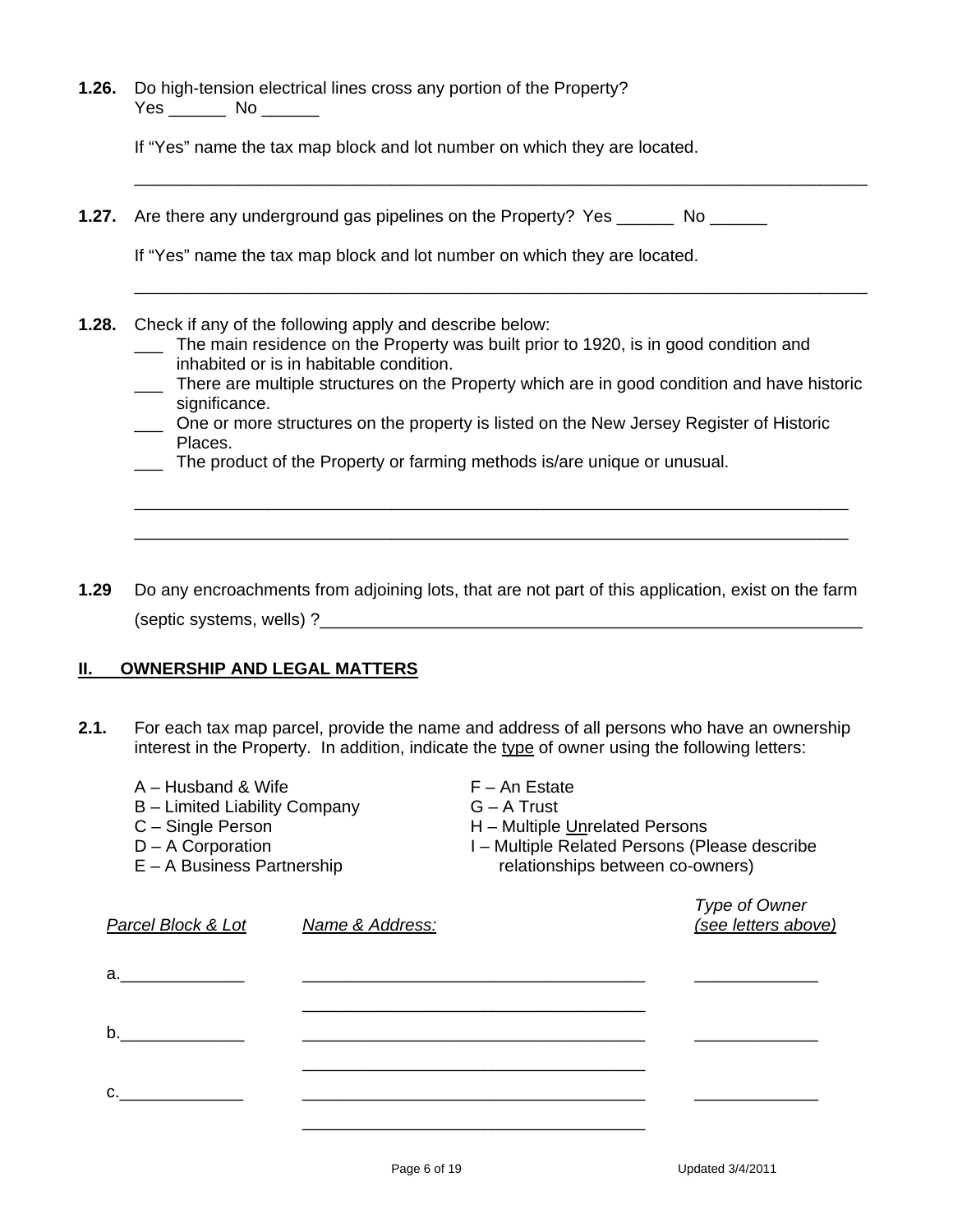**1.26.** Do high-tension electrical lines cross any portion of the Property? Yes \_\_\_\_\_\_\_\_ No \_\_\_\_\_\_\_

If "Yes" name the tax map block and lot number on which they are located.

**1.27.** Are there any underground gas pipelines on the Property? Yes No

If "Yes" name the tax map block and lot number on which they are located.

- **1.28.** Check if any of the following apply and describe below:
	- \_\_\_ The main residence on the Property was built prior to 1920, is in good condition and inhabited or is in habitable condition.

\_\_\_\_\_\_\_\_\_\_\_\_\_\_\_\_\_\_\_\_\_\_\_\_\_\_\_\_\_\_\_\_\_\_\_\_\_\_\_\_\_\_\_\_\_\_\_\_\_\_\_\_\_\_\_\_\_\_\_\_\_\_\_\_\_\_\_\_\_\_\_\_\_\_\_\_\_

\_\_\_\_\_\_\_\_\_\_\_\_\_\_\_\_\_\_\_\_\_\_\_\_\_\_\_\_\_\_\_\_\_\_\_\_\_\_\_\_\_\_\_\_\_\_\_\_\_\_\_\_\_\_\_\_\_\_\_\_\_\_\_\_\_\_\_\_\_\_\_\_\_\_\_\_\_

- \_\_\_ There are multiple structures on the Property which are in good condition and have historic significance.
- \_\_\_ One or more structures on the property is listed on the New Jersey Register of Historic Places.

\_\_\_\_\_\_\_\_\_\_\_\_\_\_\_\_\_\_\_\_\_\_\_\_\_\_\_\_\_\_\_\_\_\_\_\_\_\_\_\_\_\_\_\_\_\_\_\_\_\_\_\_\_\_\_\_\_\_\_\_\_\_\_\_\_\_\_\_\_\_\_\_\_\_\_ \_\_\_\_\_\_\_\_\_\_\_\_\_\_\_\_\_\_\_\_\_\_\_\_\_\_\_\_\_\_\_\_\_\_\_\_\_\_\_\_\_\_\_\_\_\_\_\_\_\_\_\_\_\_\_\_\_\_\_\_\_\_\_\_\_\_\_\_\_\_\_\_\_\_\_

- \_\_\_ The product of the Property or farming methods is/are unique or unusual.
- **1.29** Do any encroachments from adjoining lots, that are not part of this application, exist on the farm (septic systems, wells) ?

### **II. OWNERSHIP AND LEGAL MATTERS**

**2.1.** For each tax map parcel, provide the name and address of all persons who have an ownership interest in the Property. In addition, indicate the type of owner using the following letters:

| A – Husband & Wife<br>B - Limited Liability Company<br>C - Single Person<br>D - A Corporation<br>$E - A$ Business Partnership |                 | $F - An$ Estate<br>$G - A$ Trust<br>H - Multiple Unrelated Persons<br>I - Multiple Related Persons (Please describe<br>relationships between co-owners) |                                      |  |
|-------------------------------------------------------------------------------------------------------------------------------|-----------------|---------------------------------------------------------------------------------------------------------------------------------------------------------|--------------------------------------|--|
| Parcel Block & Lot                                                                                                            | Name & Address: |                                                                                                                                                         | Type of Owner<br>(see letters above) |  |
| а. –                                                                                                                          |                 |                                                                                                                                                         |                                      |  |
| b.                                                                                                                            |                 |                                                                                                                                                         |                                      |  |
|                                                                                                                               |                 |                                                                                                                                                         |                                      |  |
|                                                                                                                               |                 |                                                                                                                                                         |                                      |  |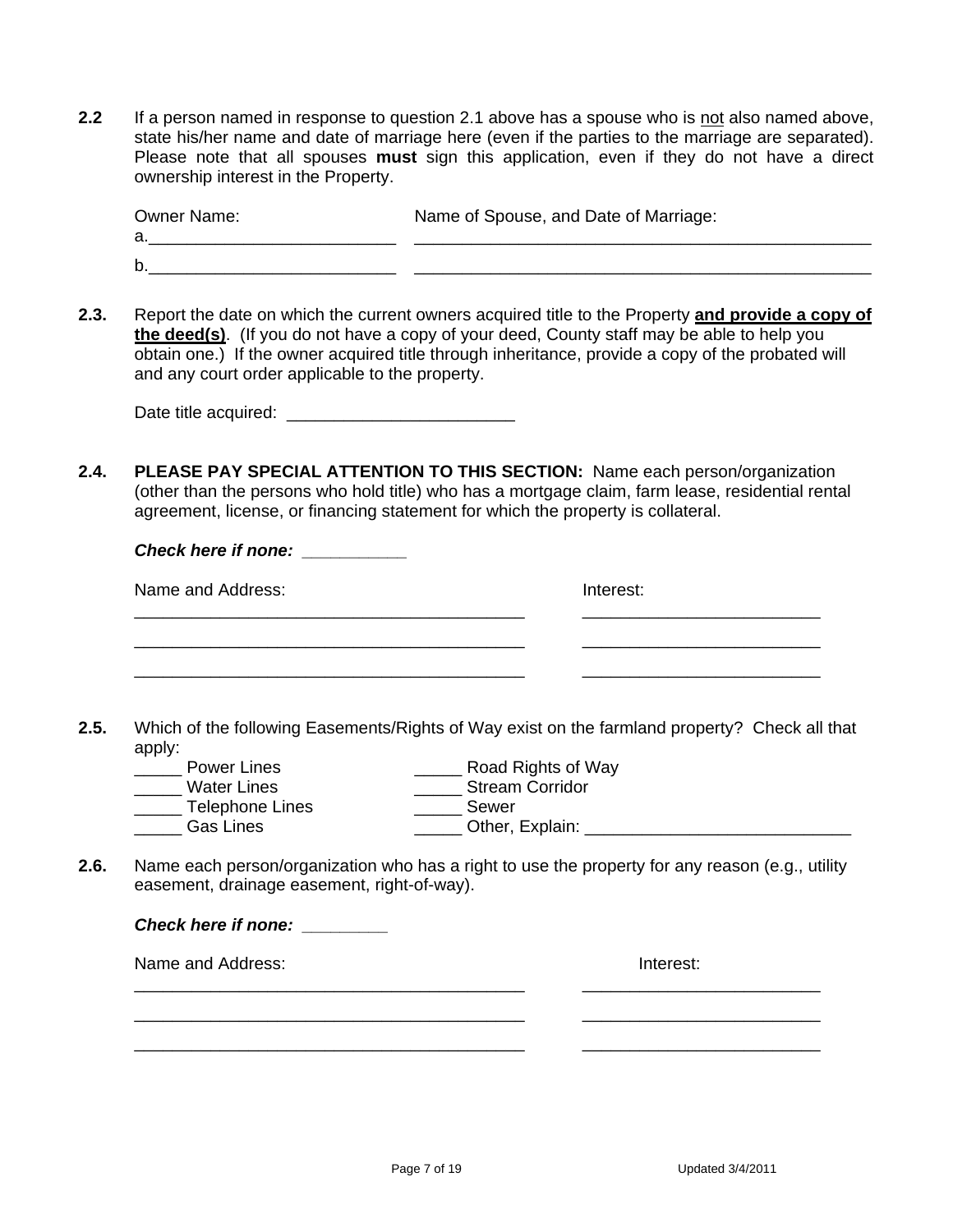**2.2** If a person named in response to question 2.1 above has a spouse who is not also named above, state his/her name and date of marriage here (even if the parties to the marriage are separated). Please note that all spouses **must** sign this application, even if they do not have a direct ownership interest in the Property.

| Owner Name: | Name of Spouse, and Date of Marriage: |
|-------------|---------------------------------------|
|             |                                       |
|             |                                       |

**2.3.** Report the date on which the current owners acquired title to the Property **and provide a copy of the deed(s)**. (If you do not have a copy of your deed, County staff may be able to help you obtain one.) If the owner acquired title through inheritance, provide a copy of the probated will and any court order applicable to the property.

Date title acquired:  $\Box$ 

*Check here if none:* 

**2.4. PLEASE PAY SPECIAL ATTENTION TO THIS SECTION:** Name each person/organization (other than the persons who hold title) who has a mortgage claim, farm lease, residential rental agreement, license, or financing statement for which the property is collateral.

| Name and Address: | Interest: |
|-------------------|-----------|
|                   |           |
|                   |           |
|                   |           |

- **2.5.** Which of the following Easements/Rights of Way exist on the farmland property? Check all that apply:<br>\_\_\_\_\_\_ Power Lines
- \_\_\_\_\_\_ Road Rights of Way<br>\_\_\_\_\_\_ Stream Corridor \_\_\_\_\_ Water Lines \_\_\_\_\_ Stream Corridor \_\_\_\_\_\_ Telephone Lines \_\_\_\_\_\_\_\_ Sewer
	- Gas Lines **Explain:** Cther, Explain:
- **2.6.** Name each person/organization who has a right to use the property for any reason (e.g., utility easement, drainage easement, right-of-way).

| <b>Check here if none:</b> |           |
|----------------------------|-----------|
| Name and Address:          | Interest: |
|                            |           |
|                            |           |
|                            |           |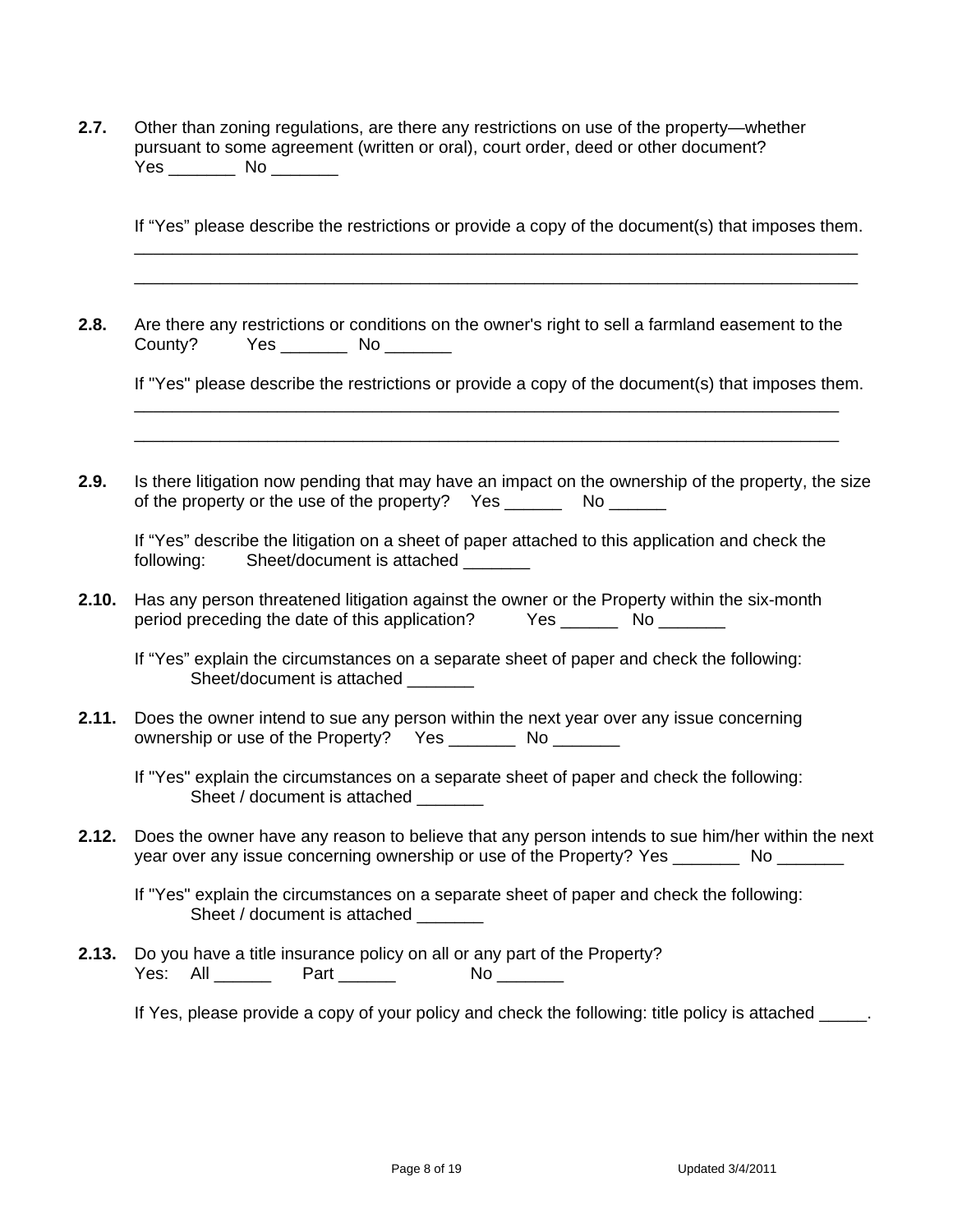| 2.7. | Other than zoning regulations, are there any restrictions on use of the property—whether |
|------|------------------------------------------------------------------------------------------|
|      | pursuant to some agreement (written or oral), court order, deed or other document?       |
|      | Yes.<br>No.                                                                              |

If "Yes" please describe the restrictions or provide a copy of the document(s) that imposes them.

**2.8.** Are there any restrictions or conditions on the owner's right to sell a farmland easement to the County? Yes No

 \_\_\_\_\_\_\_\_\_\_\_\_\_\_\_\_\_\_\_\_\_\_\_\_\_\_\_\_\_\_\_\_\_\_\_\_\_\_\_\_\_\_\_\_\_\_\_\_\_\_\_\_\_\_\_\_\_\_\_\_\_\_\_\_\_\_\_\_\_\_\_\_\_\_ \_\_\_\_\_\_\_\_\_\_\_\_\_\_\_\_\_\_\_\_\_\_\_\_\_\_\_\_\_\_\_\_\_\_\_\_\_\_\_\_\_\_\_\_\_\_\_\_\_\_\_\_\_\_\_\_\_\_\_\_\_\_\_\_\_\_\_\_\_\_\_\_\_\_

 \_\_\_\_\_\_\_\_\_\_\_\_\_\_\_\_\_\_\_\_\_\_\_\_\_\_\_\_\_\_\_\_\_\_\_\_\_\_\_\_\_\_\_\_\_\_\_\_\_\_\_\_\_\_\_\_\_\_\_\_\_\_\_\_\_\_\_\_\_\_\_\_\_\_\_\_ \_\_\_\_\_\_\_\_\_\_\_\_\_\_\_\_\_\_\_\_\_\_\_\_\_\_\_\_\_\_\_\_\_\_\_\_\_\_\_\_\_\_\_\_\_\_\_\_\_\_\_\_\_\_\_\_\_\_\_\_\_\_\_\_\_\_\_\_\_\_\_\_\_\_\_\_

If "Yes" please describe the restrictions or provide a copy of the document(s) that imposes them.

**2.9.** Is there litigation now pending that may have an impact on the ownership of the property, the size of the property or the use of the property? Yes \_\_\_\_\_\_\_\_\_ No \_\_\_\_\_\_\_

|            | If "Yes" describe the litigation on a sheet of paper attached to this application and check the |  |  |  |
|------------|-------------------------------------------------------------------------------------------------|--|--|--|
| following: | Sheet/document is attached                                                                      |  |  |  |

**2.10.** Has any person threatened litigation against the owner or the Property within the six-month period preceding the date of this application? Yes \_\_\_\_\_\_\_\_ No \_\_\_\_\_\_\_\_

 If "Yes" explain the circumstances on a separate sheet of paper and check the following: Sheet/document is attached \_\_\_\_\_\_\_

**2.11.** Does the owner intend to sue any person within the next year over any issue concerning ownership or use of the Property? Yes No No

 If "Yes" explain the circumstances on a separate sheet of paper and check the following: Sheet / document is attached

**2.12.** Does the owner have any reason to believe that any person intends to sue him/her within the next year over any issue concerning ownership or use of the Property? Yes \_\_\_\_\_\_\_\_\_ No \_\_\_\_\_\_\_

 If "Yes" explain the circumstances on a separate sheet of paper and check the following: Sheet / document is attached

**2.13.** Do you have a title insurance policy on all or any part of the Property? Yes: All \_\_\_\_\_\_\_ Part \_\_\_\_\_\_\_ No \_\_\_\_\_\_\_

If Yes, please provide a copy of your policy and check the following: title policy is attached  $\blacksquare$ .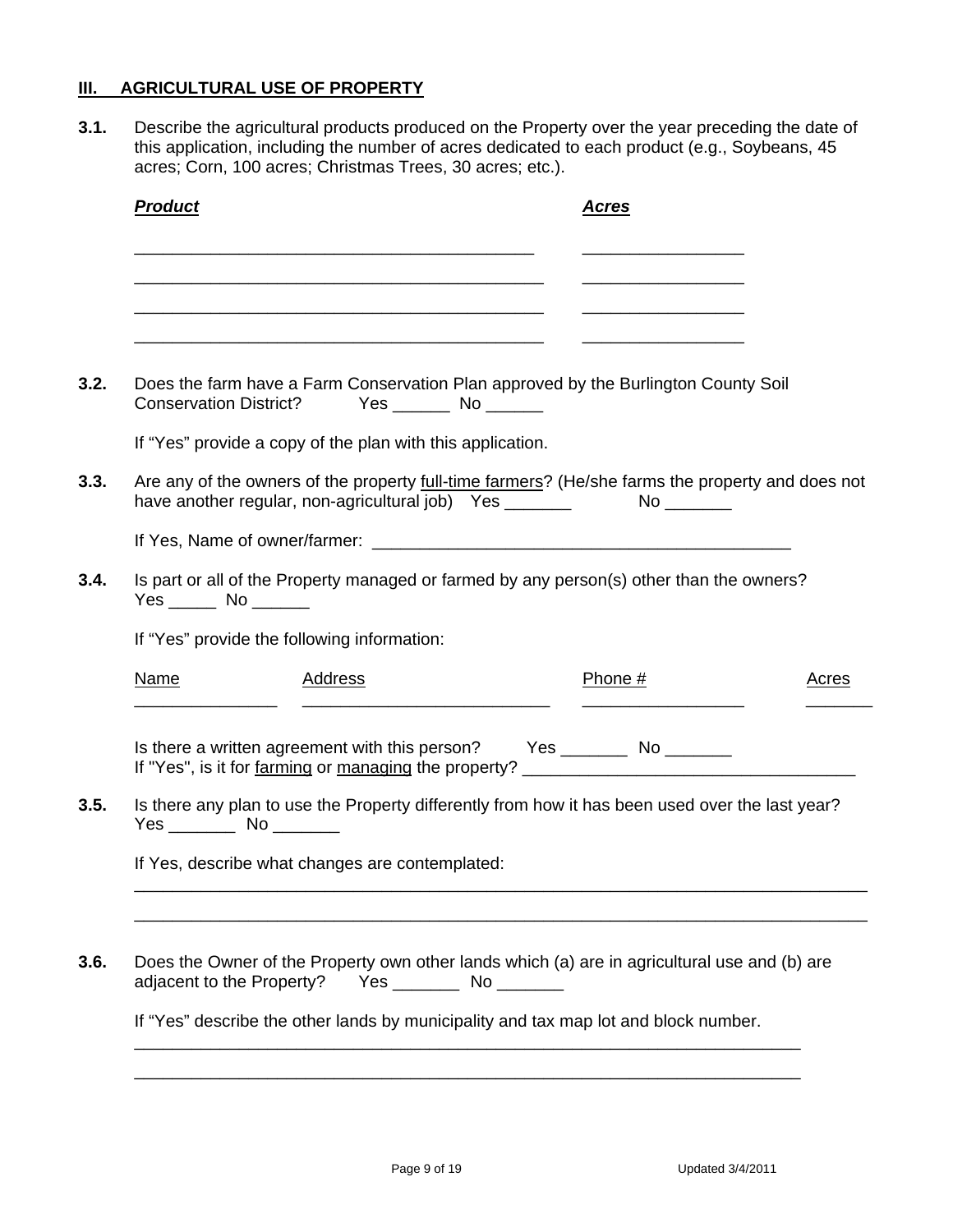### **III. AGRICULTURAL USE OF PROPERTY**

**3.1.** Describe the agricultural products produced on the Property over the year preceding the date of this application, including the number of acres dedicated to each product (e.g., Soybeans, 45 acres; Corn, 100 acres; Christmas Trees, 30 acres; etc.).

| <b>Product</b>                |                                                                                                                       | <u>Acres</u>                                                                                             |              |
|-------------------------------|-----------------------------------------------------------------------------------------------------------------------|----------------------------------------------------------------------------------------------------------|--------------|
|                               | <u> 1989 - Johann Barn, mars ar breithinn ar chwaraeth a chwaraeth a chwaraeth a chwaraeth a chwaraeth a chwaraet</u> |                                                                                                          |              |
|                               | <u> 1989 - Johann John Harry Harry Harry Harry Harry Harry Harry Harry Harry Harry Harry Harry Harry Harry Harry</u>  |                                                                                                          |              |
|                               |                                                                                                                       |                                                                                                          |              |
| <b>Conservation District?</b> | Yes _______ No ______                                                                                                 | Does the farm have a Farm Conservation Plan approved by the Burlington County Soil                       |              |
|                               | If "Yes" provide a copy of the plan with this application.                                                            |                                                                                                          |              |
|                               | have another regular, non-agricultural job) Yes _______                                                               | Are any of the owners of the property <i>full-time farmers</i> ? (He/she farms the property and does not |              |
|                               |                                                                                                                       |                                                                                                          |              |
|                               |                                                                                                                       |                                                                                                          |              |
|                               |                                                                                                                       | Is part or all of the Property managed or farmed by any person(s) other than the owners?                 |              |
|                               | If "Yes" provide the following information:                                                                           |                                                                                                          |              |
| <u>Name</u>                   | <b>Address</b>                                                                                                        | Phone #                                                                                                  | <u>Acres</u> |
|                               |                                                                                                                       | Is there a written agreement with this person? Yes _________ No ________                                 |              |
|                               |                                                                                                                       |                                                                                                          |              |
|                               | Yes __________ No ________                                                                                            | Is there any plan to use the Property differently from how it has been used over the last year?          |              |
|                               | If Yes, describe what changes are contemplated:                                                                       |                                                                                                          |              |
|                               |                                                                                                                       |                                                                                                          |              |
|                               |                                                                                                                       |                                                                                                          |              |
| adjacent to the Property?     | Yes _________________ No ___________                                                                                  | Does the Owner of the Property own other lands which (a) are in agricultural use and (b) are             |              |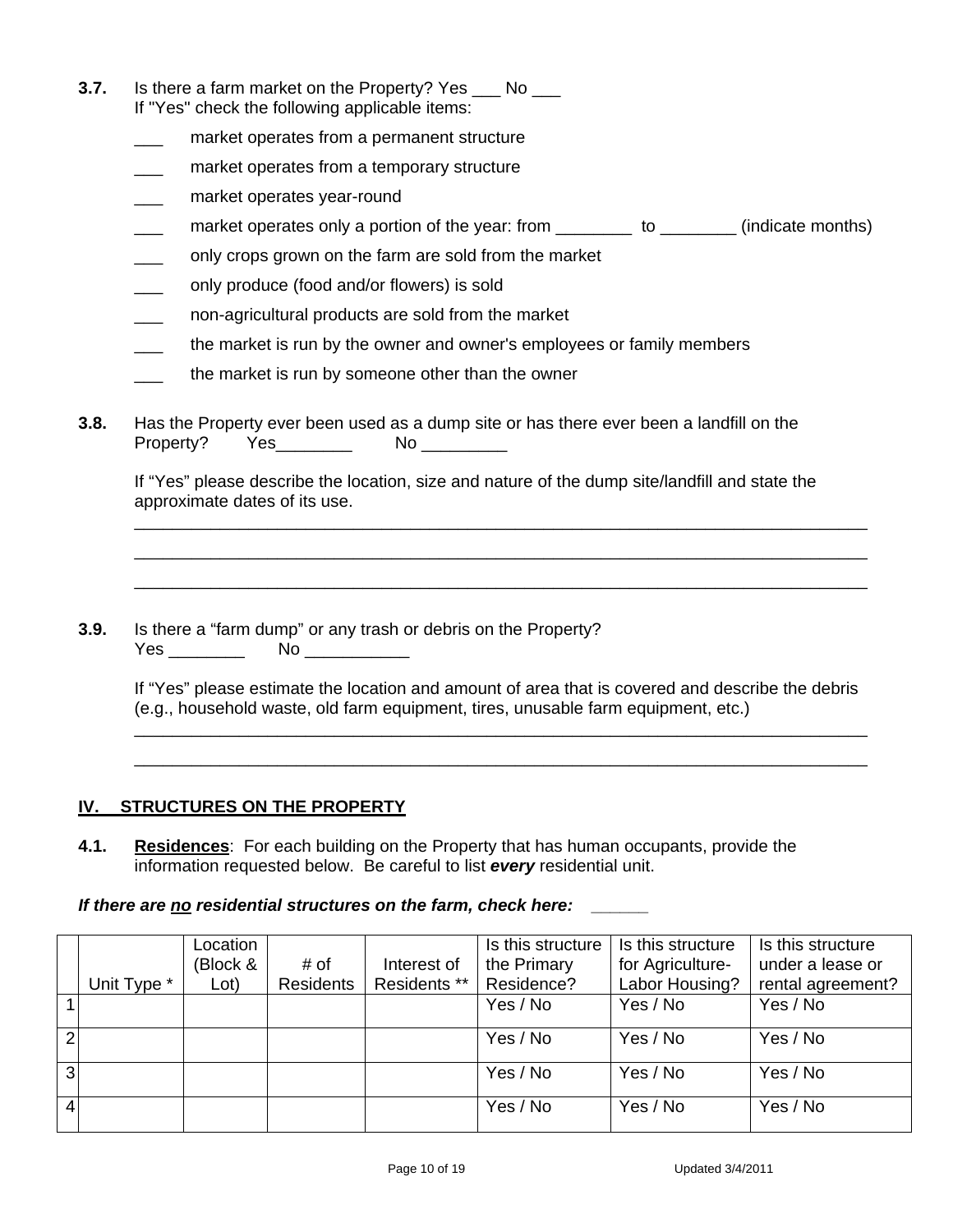- **3.7.** Is there a farm market on the Property? Yes No If "Yes" check the following applicable items:
	- market operates from a permanent structure
	- market operates from a temporary structure
	- market operates year-round
	- market operates only a portion of the year: from \_\_\_\_\_\_\_\_\_ to \_\_\_\_\_\_\_\_ (indicate months)
	- only crops grown on the farm are sold from the market
	- only produce (food and/or flowers) is sold
	- \_\_\_ non-agricultural products are sold from the market
	- the market is run by the owner and owner's employees or family members
	- the market is run by someone other than the owner
- **3.8.** Has the Property ever been used as a dump site or has there ever been a landfill on the Property? Yes\_\_\_\_\_\_\_\_ No \_\_\_\_\_\_\_\_\_

 If "Yes" please describe the location, size and nature of the dump site/landfill and state the approximate dates of its use.

\_\_\_\_\_\_\_\_\_\_\_\_\_\_\_\_\_\_\_\_\_\_\_\_\_\_\_\_\_\_\_\_\_\_\_\_\_\_\_\_\_\_\_\_\_\_\_\_\_\_\_\_\_\_\_\_\_\_\_\_\_\_\_\_\_\_\_\_\_\_\_\_\_\_\_\_\_

**3.9.** Is there a "farm dump" or any trash or debris on the Property? Yes \_\_\_\_\_\_\_\_\_\_ No \_\_\_\_\_\_\_\_\_\_\_\_\_\_

> If "Yes" please estimate the location and amount of area that is covered and describe the debris (e.g., household waste, old farm equipment, tires, unusable farm equipment, etc.) \_\_\_\_\_\_\_\_\_\_\_\_\_\_\_\_\_\_\_\_\_\_\_\_\_\_\_\_\_\_\_\_\_\_\_\_\_\_\_\_\_\_\_\_\_\_\_\_\_\_\_\_\_\_\_\_\_\_\_\_\_\_\_\_\_\_\_\_\_\_\_\_\_\_\_\_\_

> \_\_\_\_\_\_\_\_\_\_\_\_\_\_\_\_\_\_\_\_\_\_\_\_\_\_\_\_\_\_\_\_\_\_\_\_\_\_\_\_\_\_\_\_\_\_\_\_\_\_\_\_\_\_\_\_\_\_\_\_\_\_\_\_\_\_\_\_\_\_\_\_\_\_\_\_\_

\_\_\_\_\_\_\_\_\_\_\_\_\_\_\_\_\_\_\_\_\_\_\_\_\_\_\_\_\_\_\_\_\_\_\_\_\_\_\_\_\_\_\_\_\_\_\_\_\_\_\_\_\_\_\_\_\_\_\_\_\_\_\_\_\_\_\_\_\_\_\_\_\_\_\_\_\_ \_\_\_\_\_\_\_\_\_\_\_\_\_\_\_\_\_\_\_\_\_\_\_\_\_\_\_\_\_\_\_\_\_\_\_\_\_\_\_\_\_\_\_\_\_\_\_\_\_\_\_\_\_\_\_\_\_\_\_\_\_\_\_\_\_\_\_\_\_\_\_\_\_\_\_\_\_

### **IV. STRUCTURES ON THE PROPERTY**

**4.1. Residences**: For each building on the Property that has human occupants, provide the information requested below. Be careful to list *every* residential unit.

#### *If there are no residential structures on the farm, check here: \_\_\_\_\_\_*

|                |             | _ocation |                  |              | Is this structure | Is this structure | Is this structure |
|----------------|-------------|----------|------------------|--------------|-------------------|-------------------|-------------------|
|                |             | (Block & | # of             | Interest of  | the Primary       | for Agriculture-  | under a lease or  |
|                | Unit Type * | Lot)     | <b>Residents</b> | Residents ** | Residence?        | Labor Housing?    | rental agreement? |
|                |             |          |                  |              | Yes / No          | Yes / No          | Yes / No          |
| $\overline{2}$ |             |          |                  |              | Yes / No          | Yes / No          | Yes / No          |
| $\overline{3}$ |             |          |                  |              | Yes / No          | Yes / No          | Yes / No          |
| $\overline{4}$ |             |          |                  |              | Yes / No          | Yes / No          | Yes / No          |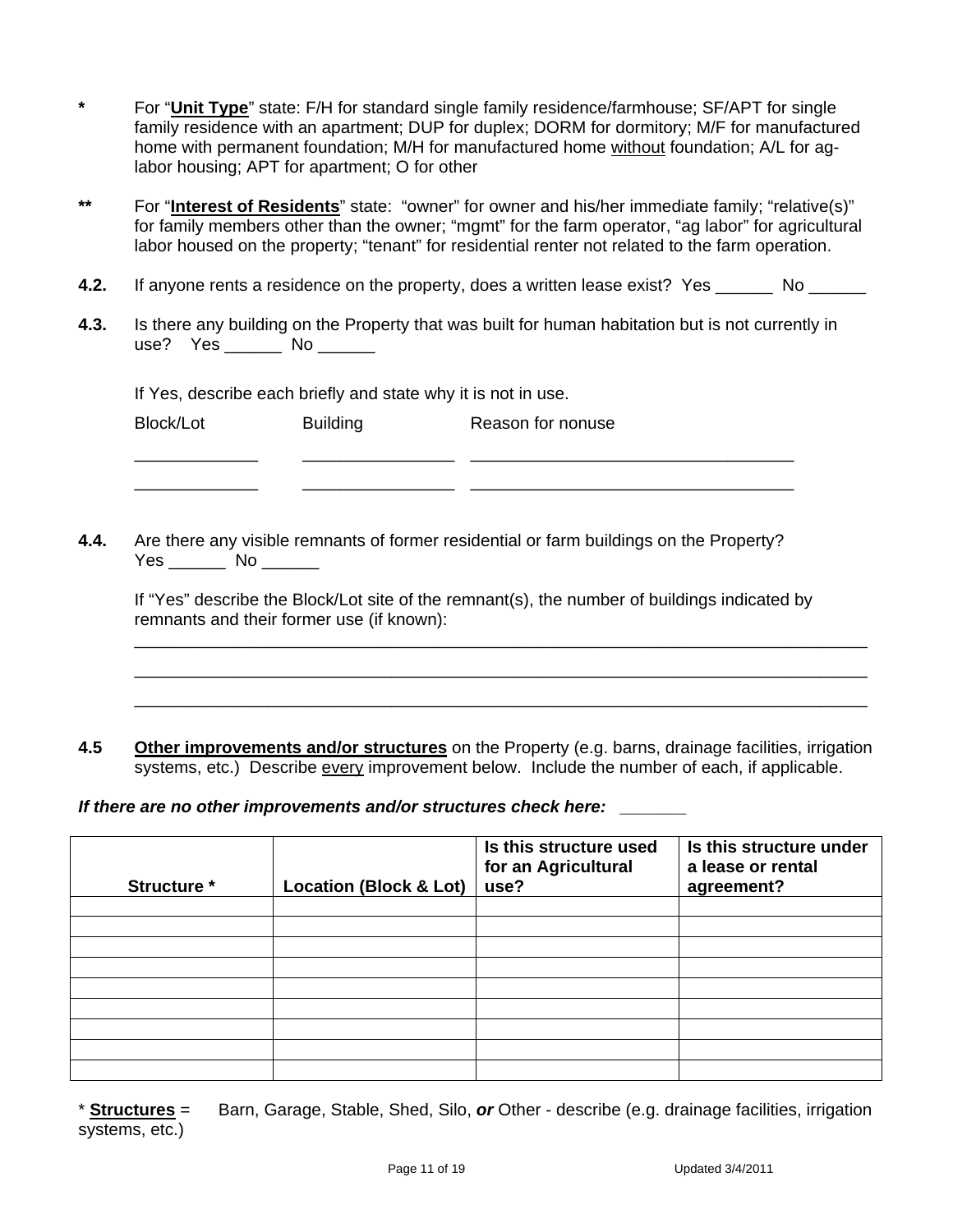- **\*** For "**Unit Type**" state: F/H for standard single family residence/farmhouse; SF/APT for single family residence with an apartment; DUP for duplex; DORM for dormitory; M/F for manufactured home with permanent foundation; M/H for manufactured home without foundation; A/L for aglabor housing; APT for apartment; O for other
- **\*\*** For "**Interest of Residents**" state: "owner" for owner and his/her immediate family; "relative(s)" for family members other than the owner; "mgmt" for the farm operator, "ag labor" for agricultural labor housed on the property; "tenant" for residential renter not related to the farm operation.
- **4.2.** If anyone rents a residence on the property, does a written lease exist? Yes No
- **4.3.** Is there any building on the Property that was built for human habitation but is not currently in use? Yes No

If Yes, describe each briefly and state why it is not in use.

| Block/Lot       | <b>Building</b> | Reason for nonuse |
|-----------------|-----------------|-------------------|
| _______________ |                 |                   |

\_\_\_\_\_\_\_\_\_\_\_\_\_ \_\_\_\_\_\_\_\_\_\_\_\_\_\_\_\_ \_\_\_\_\_\_\_\_\_\_\_\_\_\_\_\_\_\_\_\_\_\_\_\_\_\_\_\_\_\_\_\_\_\_

**4.4.** Are there any visible remnants of former residential or farm buildings on the Property? Yes \_\_\_\_\_\_\_ No \_\_\_\_\_\_

| If "Yes" describe the Block/Lot site of the remnant(s), the number of buildings indicated by |  |
|----------------------------------------------------------------------------------------------|--|
| remnants and their former use (if known):                                                    |  |

\_\_\_\_\_\_\_\_\_\_\_\_\_\_\_\_\_\_\_\_\_\_\_\_\_\_\_\_\_\_\_\_\_\_\_\_\_\_\_\_\_\_\_\_\_\_\_\_\_\_\_\_\_\_\_\_\_\_\_\_\_\_\_\_\_\_\_\_\_\_\_\_\_\_\_\_\_ \_\_\_\_\_\_\_\_\_\_\_\_\_\_\_\_\_\_\_\_\_\_\_\_\_\_\_\_\_\_\_\_\_\_\_\_\_\_\_\_\_\_\_\_\_\_\_\_\_\_\_\_\_\_\_\_\_\_\_\_\_\_\_\_\_\_\_\_\_\_\_\_\_\_\_\_\_ \_\_\_\_\_\_\_\_\_\_\_\_\_\_\_\_\_\_\_\_\_\_\_\_\_\_\_\_\_\_\_\_\_\_\_\_\_\_\_\_\_\_\_\_\_\_\_\_\_\_\_\_\_\_\_\_\_\_\_\_\_\_\_\_\_\_\_\_\_\_\_\_\_\_\_\_\_

**4.5 Other improvements and/or structures** on the Property (e.g. barns, drainage facilities, irrigation systems, etc.) Describe every improvement below. Include the number of each, if applicable.

*If there are no other improvements and/or structures check here:* 

| Structure * | <b>Location (Block &amp; Lot)</b> | Is this structure used<br>for an Agricultural<br>use? | Is this structure under<br>a lease or rental<br>agreement? |
|-------------|-----------------------------------|-------------------------------------------------------|------------------------------------------------------------|
|             |                                   |                                                       |                                                            |
|             |                                   |                                                       |                                                            |
|             |                                   |                                                       |                                                            |
|             |                                   |                                                       |                                                            |
|             |                                   |                                                       |                                                            |
|             |                                   |                                                       |                                                            |
|             |                                   |                                                       |                                                            |
|             |                                   |                                                       |                                                            |
|             |                                   |                                                       |                                                            |

\* **Structures** = Barn, Garage, Stable, Shed, Silo, *or* Other - describe (e.g. drainage facilities, irrigation systems, etc.)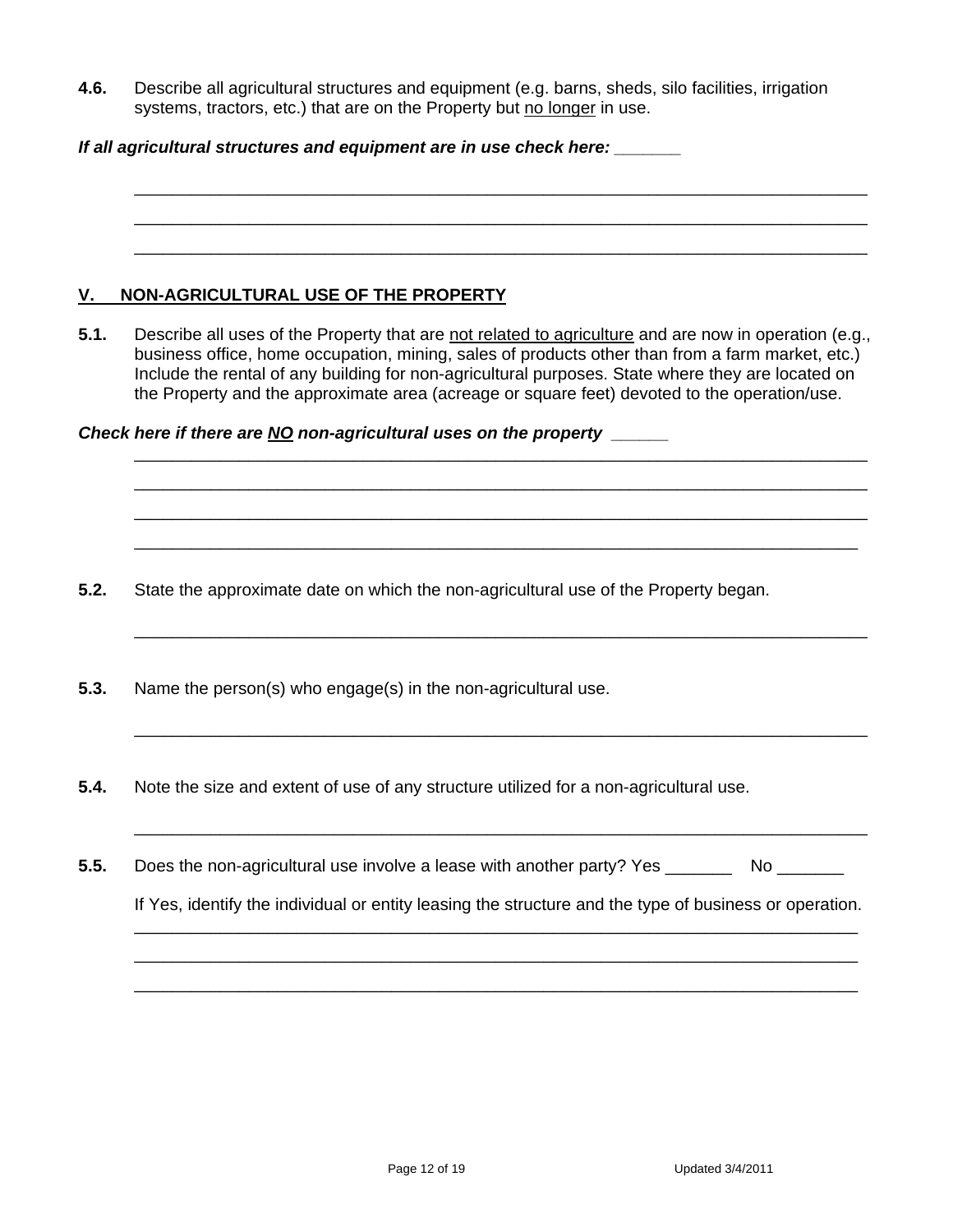**4.6.** Describe all agricultural structures and equipment (e.g. barns, sheds, silo facilities, irrigation systems, tractors, etc.) that are on the Property but no longer in use.

| If all agricultural structures and equipment are in use check here: |  |  |  |  |
|---------------------------------------------------------------------|--|--|--|--|
|---------------------------------------------------------------------|--|--|--|--|

## **V. NON-AGRICULTURAL USE OF THE PROPERTY**

**5.1.** Describe all uses of the Property that are not related to agriculture and are now in operation (e.g., business office, home occupation, mining, sales of products other than from a farm market, etc.) Include the rental of any building for non-agricultural purposes. State where they are located on the Property and the approximate area (acreage or square feet) devoted to the operation/use.

 \_\_\_\_\_\_\_\_\_\_\_\_\_\_\_\_\_\_\_\_\_\_\_\_\_\_\_\_\_\_\_\_\_\_\_\_\_\_\_\_\_\_\_\_\_\_\_\_\_\_\_\_\_\_\_\_\_\_\_\_\_\_\_\_\_\_\_\_\_\_\_\_\_\_\_\_\_ \_\_\_\_\_\_\_\_\_\_\_\_\_\_\_\_\_\_\_\_\_\_\_\_\_\_\_\_\_\_\_\_\_\_\_\_\_\_\_\_\_\_\_\_\_\_\_\_\_\_\_\_\_\_\_\_\_\_\_\_\_\_\_\_\_\_\_\_\_\_\_\_\_\_\_\_\_ \_\_\_\_\_\_\_\_\_\_\_\_\_\_\_\_\_\_\_\_\_\_\_\_\_\_\_\_\_\_\_\_\_\_\_\_\_\_\_\_\_\_\_\_\_\_\_\_\_\_\_\_\_\_\_\_\_\_\_\_\_\_\_\_\_\_\_\_\_\_\_\_\_\_\_\_\_ \_\_\_\_\_\_\_\_\_\_\_\_\_\_\_\_\_\_\_\_\_\_\_\_\_\_\_\_\_\_\_\_\_\_\_\_\_\_\_\_\_\_\_\_\_\_\_\_\_\_\_\_\_\_\_\_\_\_\_\_\_\_\_\_\_\_\_\_\_\_\_\_\_\_\_\_

\_\_\_\_\_\_\_\_\_\_\_\_\_\_\_\_\_\_\_\_\_\_\_\_\_\_\_\_\_\_\_\_\_\_\_\_\_\_\_\_\_\_\_\_\_\_\_\_\_\_\_\_\_\_\_\_\_\_\_\_\_\_\_\_\_\_\_\_\_\_\_\_\_\_\_\_\_

\_\_\_\_\_\_\_\_\_\_\_\_\_\_\_\_\_\_\_\_\_\_\_\_\_\_\_\_\_\_\_\_\_\_\_\_\_\_\_\_\_\_\_\_\_\_\_\_\_\_\_\_\_\_\_\_\_\_\_\_\_\_\_\_\_\_\_\_\_\_\_\_\_\_\_\_\_

\_\_\_\_\_\_\_\_\_\_\_\_\_\_\_\_\_\_\_\_\_\_\_\_\_\_\_\_\_\_\_\_\_\_\_\_\_\_\_\_\_\_\_\_\_\_\_\_\_\_\_\_\_\_\_\_\_\_\_\_\_\_\_\_\_\_\_\_\_\_\_\_\_\_\_\_\_

 \_\_\_\_\_\_\_\_\_\_\_\_\_\_\_\_\_\_\_\_\_\_\_\_\_\_\_\_\_\_\_\_\_\_\_\_\_\_\_\_\_\_\_\_\_\_\_\_\_\_\_\_\_\_\_\_\_\_\_\_\_\_\_\_\_\_\_\_\_\_\_\_\_\_\_\_ \_\_\_\_\_\_\_\_\_\_\_\_\_\_\_\_\_\_\_\_\_\_\_\_\_\_\_\_\_\_\_\_\_\_\_\_\_\_\_\_\_\_\_\_\_\_\_\_\_\_\_\_\_\_\_\_\_\_\_\_\_\_\_\_\_\_\_\_\_\_\_\_\_\_\_\_ \_\_\_\_\_\_\_\_\_\_\_\_\_\_\_\_\_\_\_\_\_\_\_\_\_\_\_\_\_\_\_\_\_\_\_\_\_\_\_\_\_\_\_\_\_\_\_\_\_\_\_\_\_\_\_\_\_\_\_\_\_\_\_\_\_\_\_\_\_\_\_\_\_\_\_\_

 \_\_\_\_\_\_\_\_\_\_\_\_\_\_\_\_\_\_\_\_\_\_\_\_\_\_\_\_\_\_\_\_\_\_\_\_\_\_\_\_\_\_\_\_\_\_\_\_\_\_\_\_\_\_\_\_\_\_\_\_\_\_\_\_\_\_\_\_\_\_\_\_\_\_\_\_\_ \_\_\_\_\_\_\_\_\_\_\_\_\_\_\_\_\_\_\_\_\_\_\_\_\_\_\_\_\_\_\_\_\_\_\_\_\_\_\_\_\_\_\_\_\_\_\_\_\_\_\_\_\_\_\_\_\_\_\_\_\_\_\_\_\_\_\_\_\_\_\_\_\_\_\_\_\_ \_\_\_\_\_\_\_\_\_\_\_\_\_\_\_\_\_\_\_\_\_\_\_\_\_\_\_\_\_\_\_\_\_\_\_\_\_\_\_\_\_\_\_\_\_\_\_\_\_\_\_\_\_\_\_\_\_\_\_\_\_\_\_\_\_\_\_\_\_\_\_\_\_\_\_\_\_

*Check here if there are NO non-agricultural uses on the property \_\_\_\_\_\_* 

**5.2.** State the approximate date on which the non-agricultural use of the Property began.

- **5.3.** Name the person(s) who engage(s) in the non-agricultural use.
- **5.4.** Note the size and extent of use of any structure utilized for a non-agricultural use.
- **5.5.** Does the non-agricultural use involve a lease with another party? Yes \_\_\_\_\_\_\_\_\_ No \_\_\_\_\_\_\_

If Yes, identify the individual or entity leasing the structure and the type of business or operation.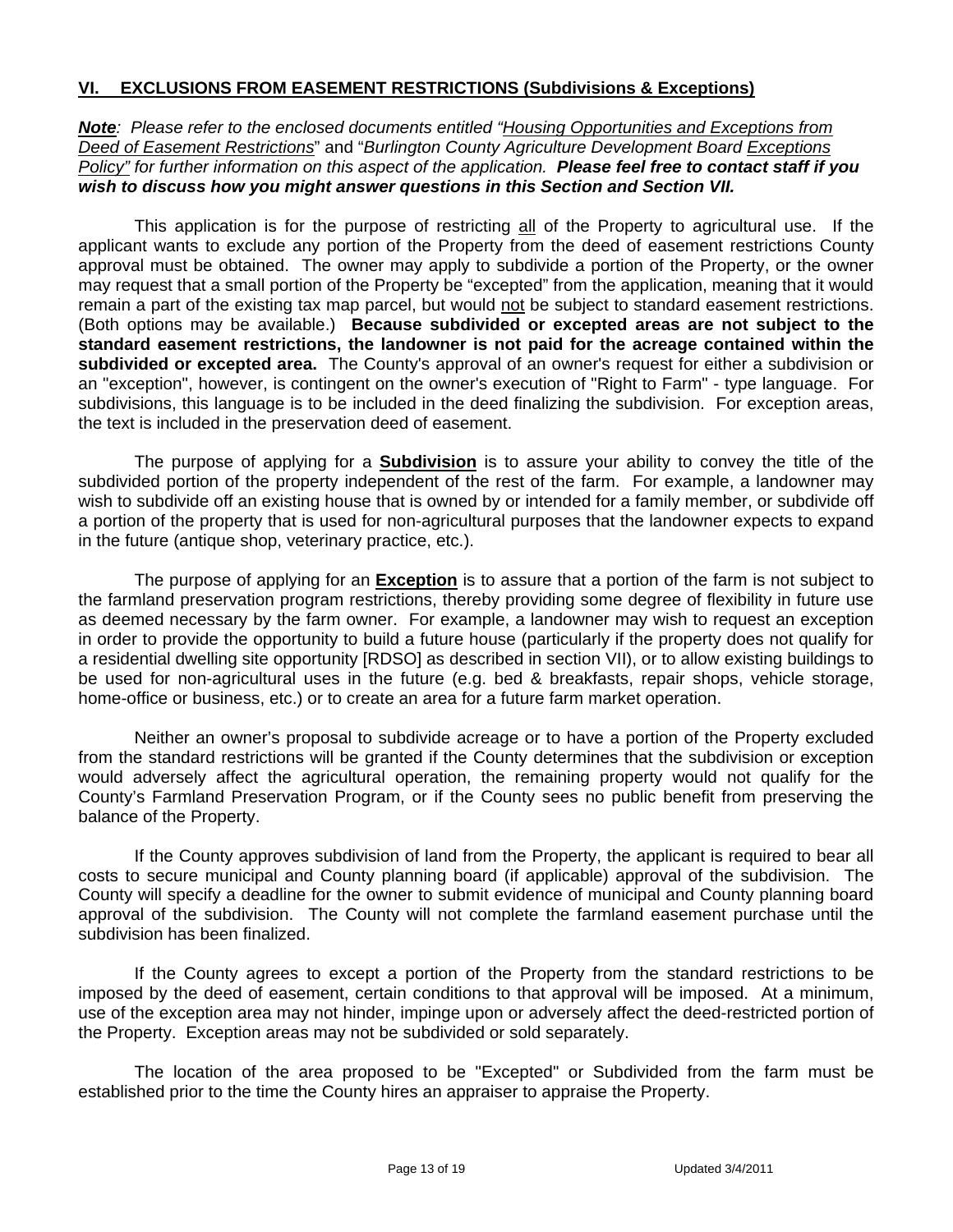### **VI. EXCLUSIONS FROM EASEMENT RESTRICTIONS (Subdivisions & Exceptions)**

*Note: Please refer to the enclosed documents entitled "Housing Opportunities and Exceptions from Deed of Easement Restrictions*" and "*Burlington County Agriculture Development Board Exceptions Policy" for further information on this aspect of the application. Please feel free to contact staff if you wish to discuss how you might answer questions in this Section and Section VII.*

This application is for the purpose of restricting all of the Property to agricultural use. If the applicant wants to exclude any portion of the Property from the deed of easement restrictions County approval must be obtained. The owner may apply to subdivide a portion of the Property, or the owner may request that a small portion of the Property be "excepted" from the application, meaning that it would remain a part of the existing tax map parcel, but would not be subject to standard easement restrictions. (Both options may be available.) **Because subdivided or excepted areas are not subject to the standard easement restrictions, the landowner is not paid for the acreage contained within the subdivided or excepted area.** The County's approval of an owner's request for either a subdivision or an "exception", however, is contingent on the owner's execution of "Right to Farm" - type language. For subdivisions, this language is to be included in the deed finalizing the subdivision. For exception areas, the text is included in the preservation deed of easement.

The purpose of applying for a **Subdivision** is to assure your ability to convey the title of the subdivided portion of the property independent of the rest of the farm. For example, a landowner may wish to subdivide off an existing house that is owned by or intended for a family member, or subdivide off a portion of the property that is used for non-agricultural purposes that the landowner expects to expand in the future (antique shop, veterinary practice, etc.).

The purpose of applying for an **Exception** is to assure that a portion of the farm is not subject to the farmland preservation program restrictions, thereby providing some degree of flexibility in future use as deemed necessary by the farm owner. For example, a landowner may wish to request an exception in order to provide the opportunity to build a future house (particularly if the property does not qualify for a residential dwelling site opportunity [RDSO] as described in section VII), or to allow existing buildings to be used for non-agricultural uses in the future (e.g. bed & breakfasts, repair shops, vehicle storage, home-office or business, etc.) or to create an area for a future farm market operation.

Neither an owner's proposal to subdivide acreage or to have a portion of the Property excluded from the standard restrictions will be granted if the County determines that the subdivision or exception would adversely affect the agricultural operation, the remaining property would not qualify for the County's Farmland Preservation Program, or if the County sees no public benefit from preserving the balance of the Property.

If the County approves subdivision of land from the Property, the applicant is required to bear all costs to secure municipal and County planning board (if applicable) approval of the subdivision. The County will specify a deadline for the owner to submit evidence of municipal and County planning board approval of the subdivision. The County will not complete the farmland easement purchase until the subdivision has been finalized.

If the County agrees to except a portion of the Property from the standard restrictions to be imposed by the deed of easement, certain conditions to that approval will be imposed. At a minimum, use of the exception area may not hinder, impinge upon or adversely affect the deed-restricted portion of the Property. Exception areas may not be subdivided or sold separately.

The location of the area proposed to be "Excepted" or Subdivided from the farm must be established prior to the time the County hires an appraiser to appraise the Property.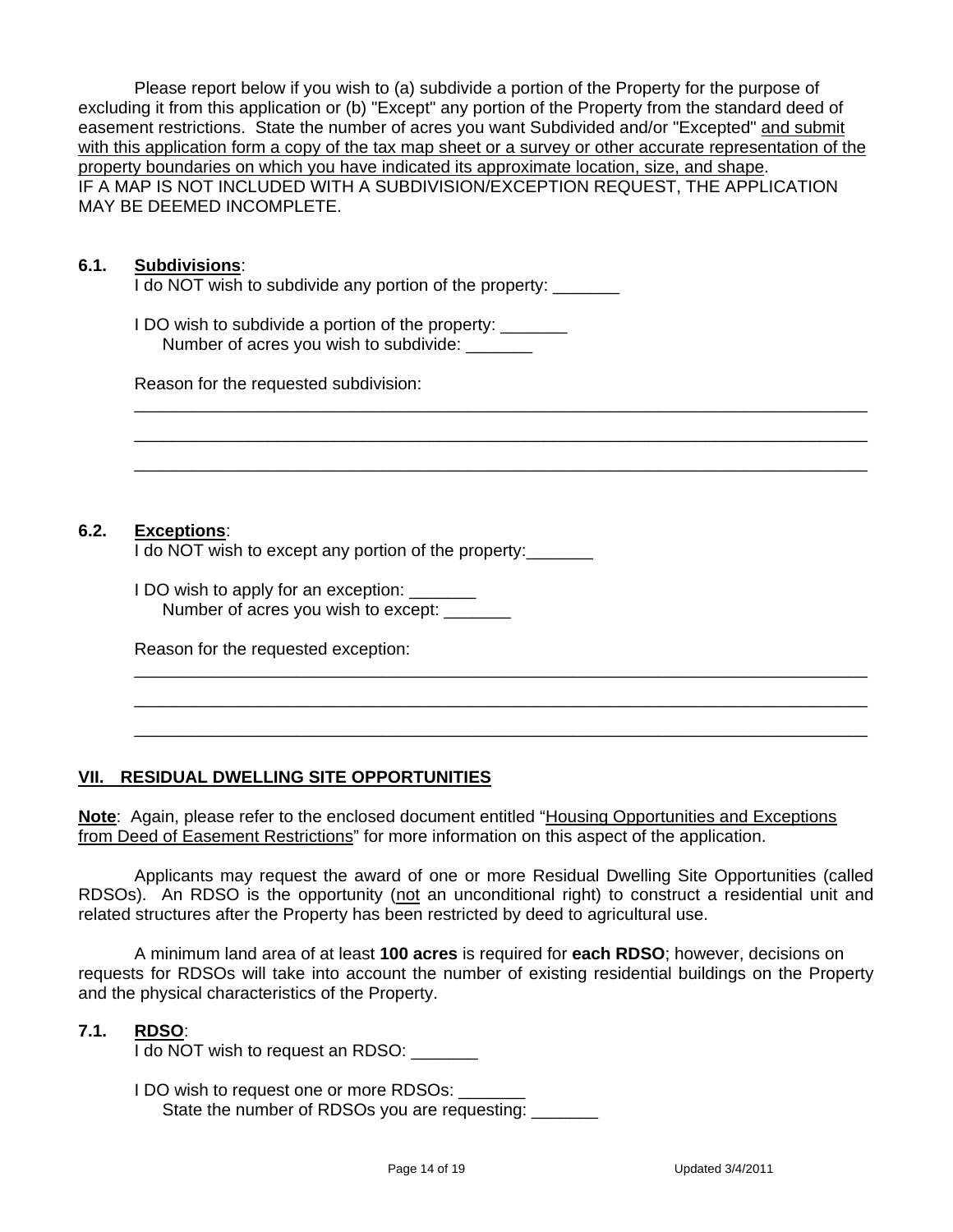Please report below if you wish to (a) subdivide a portion of the Property for the purpose of excluding it from this application or (b) "Except" any portion of the Property from the standard deed of easement restrictions. State the number of acres you want Subdivided and/or "Excepted" and submit with this application form a copy of the tax map sheet or a survey or other accurate representation of the property boundaries on which you have indicated its approximate location, size, and shape. IF A MAP IS NOT INCLUDED WITH A SUBDIVISION/EXCEPTION REQUEST, THE APPLICATION MAY BE DEEMED INCOMPLETE.

 \_\_\_\_\_\_\_\_\_\_\_\_\_\_\_\_\_\_\_\_\_\_\_\_\_\_\_\_\_\_\_\_\_\_\_\_\_\_\_\_\_\_\_\_\_\_\_\_\_\_\_\_\_\_\_\_\_\_\_\_\_\_\_\_\_\_\_\_\_\_\_\_\_\_\_\_\_ \_\_\_\_\_\_\_\_\_\_\_\_\_\_\_\_\_\_\_\_\_\_\_\_\_\_\_\_\_\_\_\_\_\_\_\_\_\_\_\_\_\_\_\_\_\_\_\_\_\_\_\_\_\_\_\_\_\_\_\_\_\_\_\_\_\_\_\_\_\_\_\_\_\_\_\_\_ \_\_\_\_\_\_\_\_\_\_\_\_\_\_\_\_\_\_\_\_\_\_\_\_\_\_\_\_\_\_\_\_\_\_\_\_\_\_\_\_\_\_\_\_\_\_\_\_\_\_\_\_\_\_\_\_\_\_\_\_\_\_\_\_\_\_\_\_\_\_\_\_\_\_\_\_\_

#### **6.1. Subdivisions**:

I do NOT wish to subdivide any portion of the property:

I DO wish to subdivide a portion of the property: \_\_\_\_\_\_\_ Number of acres you wish to subdivide:

Reason for the requested subdivision:

#### **6.2. Exceptions**:

I do NOT wish to except any portion of the property:

| I DO wish to apply for an exception: |  |
|--------------------------------------|--|
| Number of acres you wish to except:  |  |

Reason for the requested exception:

### **VII. RESIDUAL DWELLING SITE OPPORTUNITIES**

**Note**: Again, please refer to the enclosed document entitled "Housing Opportunities and Exceptions from Deed of Easement Restrictions" for more information on this aspect of the application.

Applicants may request the award of one or more Residual Dwelling Site Opportunities (called RDSOs). An RDSO is the opportunity (not an unconditional right) to construct a residential unit and related structures after the Property has been restricted by deed to agricultural use.

 \_\_\_\_\_\_\_\_\_\_\_\_\_\_\_\_\_\_\_\_\_\_\_\_\_\_\_\_\_\_\_\_\_\_\_\_\_\_\_\_\_\_\_\_\_\_\_\_\_\_\_\_\_\_\_\_\_\_\_\_\_\_\_\_\_\_\_\_\_\_\_\_\_\_\_\_\_ \_\_\_\_\_\_\_\_\_\_\_\_\_\_\_\_\_\_\_\_\_\_\_\_\_\_\_\_\_\_\_\_\_\_\_\_\_\_\_\_\_\_\_\_\_\_\_\_\_\_\_\_\_\_\_\_\_\_\_\_\_\_\_\_\_\_\_\_\_\_\_\_\_\_\_\_\_ \_\_\_\_\_\_\_\_\_\_\_\_\_\_\_\_\_\_\_\_\_\_\_\_\_\_\_\_\_\_\_\_\_\_\_\_\_\_\_\_\_\_\_\_\_\_\_\_\_\_\_\_\_\_\_\_\_\_\_\_\_\_\_\_\_\_\_\_\_\_\_\_\_\_\_\_\_

A minimum land area of at least **100 acres** is required for **each RDSO**; however, decisions on requests for RDSOs will take into account the number of existing residential buildings on the Property and the physical characteristics of the Property.

#### **7.1. RDSO**:

I do NOT wish to request an RDSO: \_\_\_\_\_\_\_

I DO wish to request one or more RDSOs: State the number of RDSOs you are requesting: \_\_\_\_\_\_\_\_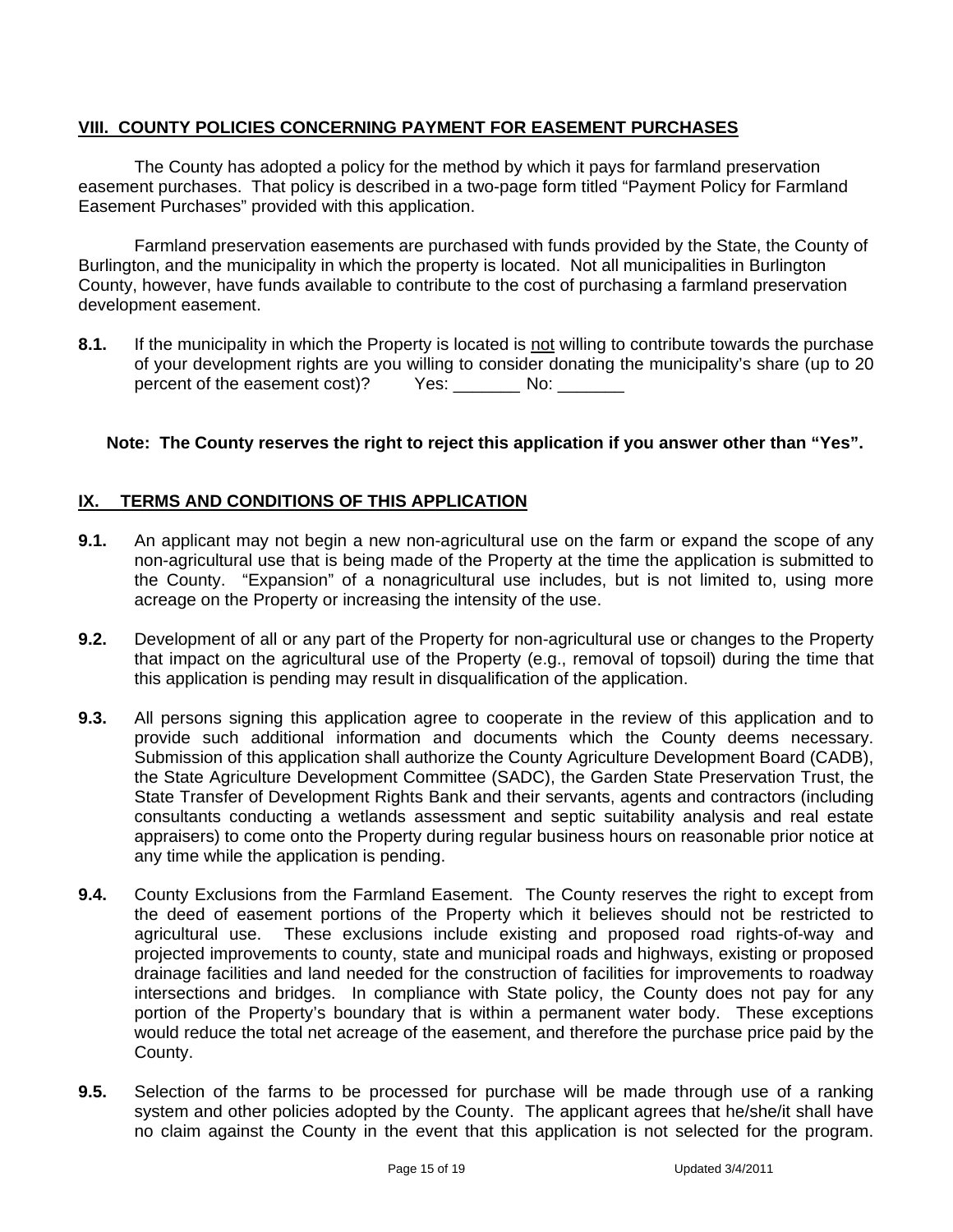### **VIII. COUNTY POLICIES CONCERNING PAYMENT FOR EASEMENT PURCHASES**

The County has adopted a policy for the method by which it pays for farmland preservation easement purchases. That policy is described in a two-page form titled "Payment Policy for Farmland Easement Purchases" provided with this application.

Farmland preservation easements are purchased with funds provided by the State, the County of Burlington, and the municipality in which the property is located. Not all municipalities in Burlington County, however, have funds available to contribute to the cost of purchasing a farmland preservation development easement.

**8.1.** If the municipality in which the Property is located is not willing to contribute towards the purchase of your development rights are you willing to consider donating the municipality's share (up to 20 percent of the easement cost)? Yes: \_\_\_\_\_\_\_ No: \_\_\_\_\_\_\_

### **Note: The County reserves the right to reject this application if you answer other than "Yes".**

### **IX. TERMS AND CONDITIONS OF THIS APPLICATION**

- **9.1.** An applicant may not begin a new non-agricultural use on the farm or expand the scope of any non-agricultural use that is being made of the Property at the time the application is submitted to the County. "Expansion" of a nonagricultural use includes, but is not limited to, using more acreage on the Property or increasing the intensity of the use.
- **9.2.** Development of all or any part of the Property for non-agricultural use or changes to the Property that impact on the agricultural use of the Property (e.g., removal of topsoil) during the time that this application is pending may result in disqualification of the application.
- **9.3.** All persons signing this application agree to cooperate in the review of this application and to provide such additional information and documents which the County deems necessary. Submission of this application shall authorize the County Agriculture Development Board (CADB), the State Agriculture Development Committee (SADC), the Garden State Preservation Trust, the State Transfer of Development Rights Bank and their servants, agents and contractors (including consultants conducting a wetlands assessment and septic suitability analysis and real estate appraisers) to come onto the Property during regular business hours on reasonable prior notice at any time while the application is pending.
- **9.4.** County Exclusions from the Farmland Easement. The County reserves the right to except from the deed of easement portions of the Property which it believes should not be restricted to agricultural use. These exclusions include existing and proposed road rights-of-way and projected improvements to county, state and municipal roads and highways, existing or proposed drainage facilities and land needed for the construction of facilities for improvements to roadway intersections and bridges. In compliance with State policy, the County does not pay for any portion of the Property's boundary that is within a permanent water body. These exceptions would reduce the total net acreage of the easement, and therefore the purchase price paid by the County.
- **9.5.** Selection of the farms to be processed for purchase will be made through use of a ranking system and other policies adopted by the County. The applicant agrees that he/she/it shall have no claim against the County in the event that this application is not selected for the program.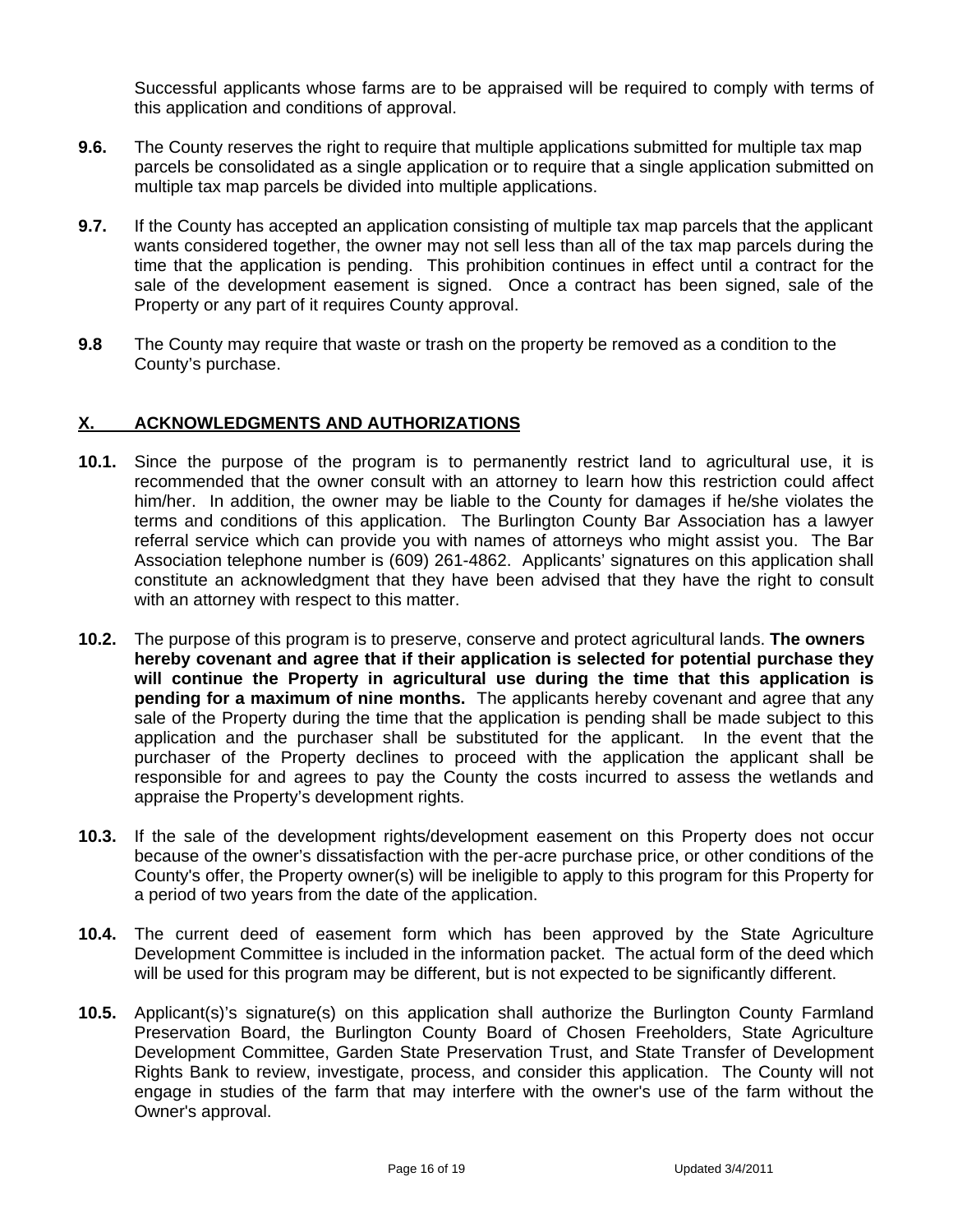Successful applicants whose farms are to be appraised will be required to comply with terms of this application and conditions of approval.

- **9.6.** The County reserves the right to require that multiple applications submitted for multiple tax map parcels be consolidated as a single application or to require that a single application submitted on multiple tax map parcels be divided into multiple applications.
- **9.7.** If the County has accepted an application consisting of multiple tax map parcels that the applicant wants considered together, the owner may not sell less than all of the tax map parcels during the time that the application is pending. This prohibition continues in effect until a contract for the sale of the development easement is signed. Once a contract has been signed, sale of the Property or any part of it requires County approval.
- **9.8** The County may require that waste or trash on the property be removed as a condition to the County's purchase.

### **X. ACKNOWLEDGMENTS AND AUTHORIZATIONS**

- **10.1.** Since the purpose of the program is to permanently restrict land to agricultural use, it is recommended that the owner consult with an attorney to learn how this restriction could affect him/her. In addition, the owner may be liable to the County for damages if he/she violates the terms and conditions of this application. The Burlington County Bar Association has a lawyer referral service which can provide you with names of attorneys who might assist you. The Bar Association telephone number is (609) 261-4862. Applicants' signatures on this application shall constitute an acknowledgment that they have been advised that they have the right to consult with an attorney with respect to this matter.
- **10.2.** The purpose of this program is to preserve, conserve and protect agricultural lands. **The owners hereby covenant and agree that if their application is selected for potential purchase they will continue the Property in agricultural use during the time that this application is pending for a maximum of nine months.** The applicants hereby covenant and agree that any sale of the Property during the time that the application is pending shall be made subject to this application and the purchaser shall be substituted for the applicant. In the event that the purchaser of the Property declines to proceed with the application the applicant shall be responsible for and agrees to pay the County the costs incurred to assess the wetlands and appraise the Property's development rights.
- **10.3.** If the sale of the development rights/development easement on this Property does not occur because of the owner's dissatisfaction with the per-acre purchase price, or other conditions of the County's offer, the Property owner(s) will be ineligible to apply to this program for this Property for a period of two years from the date of the application.
- **10.4.** The current deed of easement form which has been approved by the State Agriculture Development Committee is included in the information packet. The actual form of the deed which will be used for this program may be different, but is not expected to be significantly different.
- **10.5.** Applicant(s)'s signature(s) on this application shall authorize the Burlington County Farmland Preservation Board, the Burlington County Board of Chosen Freeholders, State Agriculture Development Committee, Garden State Preservation Trust, and State Transfer of Development Rights Bank to review, investigate, process, and consider this application. The County will not engage in studies of the farm that may interfere with the owner's use of the farm without the Owner's approval.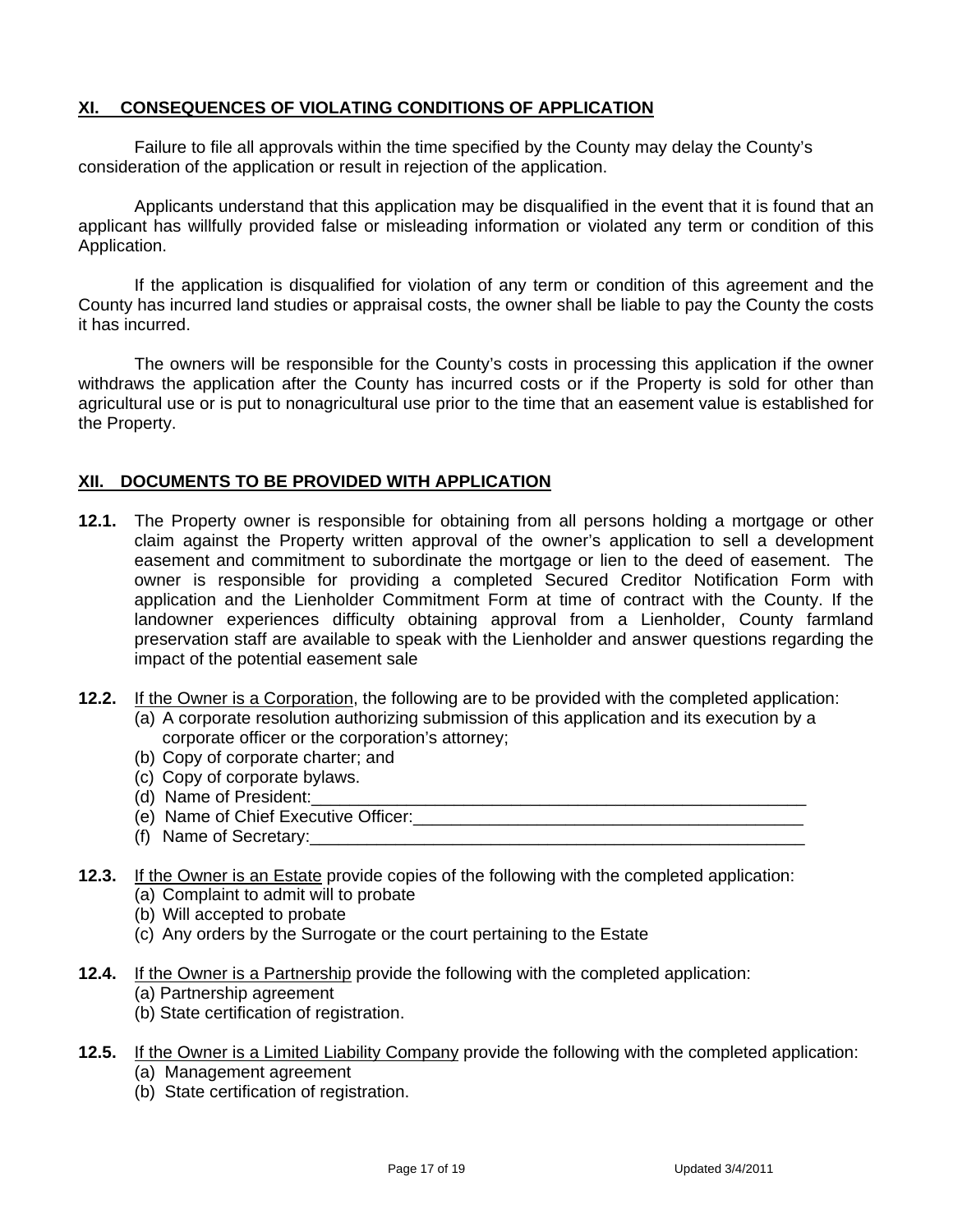## **XI. CONSEQUENCES OF VIOLATING CONDITIONS OF APPLICATION**

Failure to file all approvals within the time specified by the County may delay the County's consideration of the application or result in rejection of the application.

Applicants understand that this application may be disqualified in the event that it is found that an applicant has willfully provided false or misleading information or violated any term or condition of this Application.

If the application is disqualified for violation of any term or condition of this agreement and the County has incurred land studies or appraisal costs, the owner shall be liable to pay the County the costs it has incurred.

The owners will be responsible for the County's costs in processing this application if the owner withdraws the application after the County has incurred costs or if the Property is sold for other than agricultural use or is put to nonagricultural use prior to the time that an easement value is established for the Property.

### **XII. DOCUMENTS TO BE PROVIDED WITH APPLICATION**

- **12.1.** The Property owner is responsible for obtaining from all persons holding a mortgage or other claim against the Property written approval of the owner's application to sell a development easement and commitment to subordinate the mortgage or lien to the deed of easement. The owner is responsible for providing a completed Secured Creditor Notification Form with application and the Lienholder Commitment Form at time of contract with the County. If the landowner experiences difficulty obtaining approval from a Lienholder, County farmland preservation staff are available to speak with the Lienholder and answer questions regarding the impact of the potential easement sale
- **12.2.** If the Owner is a Corporation, the following are to be provided with the completed application:
	- (a) A corporate resolution authorizing submission of this application and its execution by a corporate officer or the corporation's attorney;
	- (b) Copy of corporate charter; and
	- (c) Copy of corporate bylaws.
	- (d) Name of President:
	- (e) Name of Chief Executive Officer:
	- (f) Name of Secretary:\_\_\_\_\_\_\_\_\_\_\_\_\_\_\_\_\_\_\_\_\_\_\_\_\_\_\_\_\_\_\_\_\_\_\_\_\_\_\_\_\_\_\_\_\_\_\_\_\_\_\_\_
- **12.3.** If the Owner is an Estate provide copies of the following with the completed application:
	- (a) Complaint to admit will to probate
	- (b) Will accepted to probate
	- (c) Any orders by the Surrogate or the court pertaining to the Estate
- **12.4.** If the Owner is a Partnership provide the following with the completed application:
	- (a) Partnership agreement
	- (b) State certification of registration.
- **12.5.** If the Owner is a Limited Liability Company provide the following with the completed application: (a) Management agreement
	- (b) State certification of registration.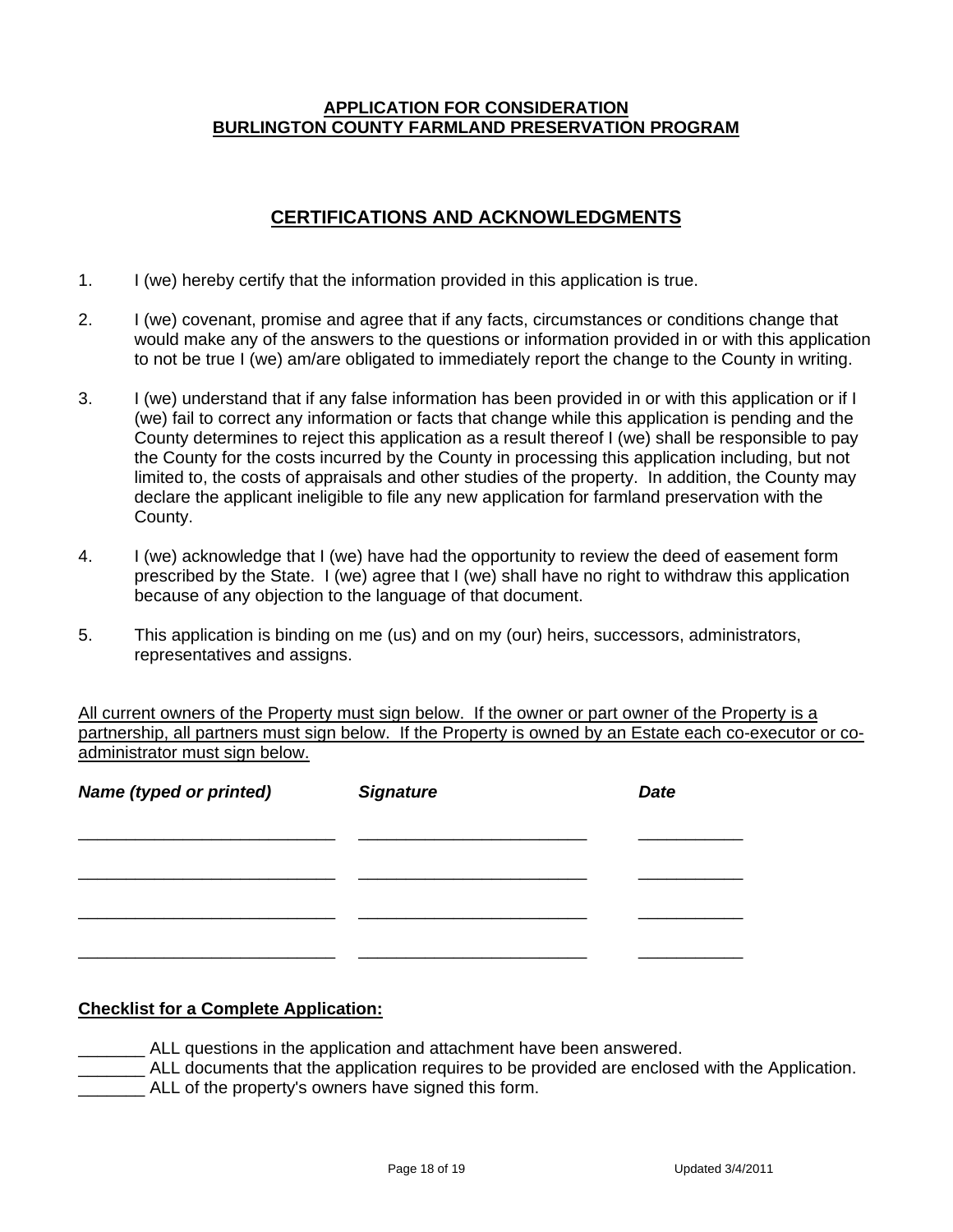#### **APPLICATION FOR CONSIDERATION BURLINGTON COUNTY FARMLAND PRESERVATION PROGRAM**

## **CERTIFICATIONS AND ACKNOWLEDGMENTS**

- 1. I (we) hereby certify that the information provided in this application is true.
- 2. I (we) covenant, promise and agree that if any facts, circumstances or conditions change that would make any of the answers to the questions or information provided in or with this application to not be true I (we) am/are obligated to immediately report the change to the County in writing.
- 3. I (we) understand that if any false information has been provided in or with this application or if I (we) fail to correct any information or facts that change while this application is pending and the County determines to reject this application as a result thereof I (we) shall be responsible to pay the County for the costs incurred by the County in processing this application including, but not limited to, the costs of appraisals and other studies of the property. In addition, the County may declare the applicant ineligible to file any new application for farmland preservation with the County.
- 4. I (we) acknowledge that I (we) have had the opportunity to review the deed of easement form prescribed by the State. I (we) agree that I (we) shall have no right to withdraw this application because of any objection to the language of that document.
- 5. This application is binding on me (us) and on my (our) heirs, successors, administrators, representatives and assigns.

All current owners of the Property must sign below. If the owner or part owner of the Property is a partnership, all partners must sign below. If the Property is owned by an Estate each co-executor or coadministrator must sign below.

| <b>Name (typed or printed)</b> | <b>Signature</b> | <b>Date</b> |
|--------------------------------|------------------|-------------|
|                                |                  |             |
|                                |                  |             |
|                                |                  |             |
|                                |                  |             |
|                                |                  |             |

### **Checklist for a Complete Application:**

- \_\_\_\_\_\_\_ ALL questions in the application and attachment have been answered.
- \_\_\_\_\_\_\_ ALL documents that the application requires to be provided are enclosed with the Application.
- ALL of the property's owners have signed this form.